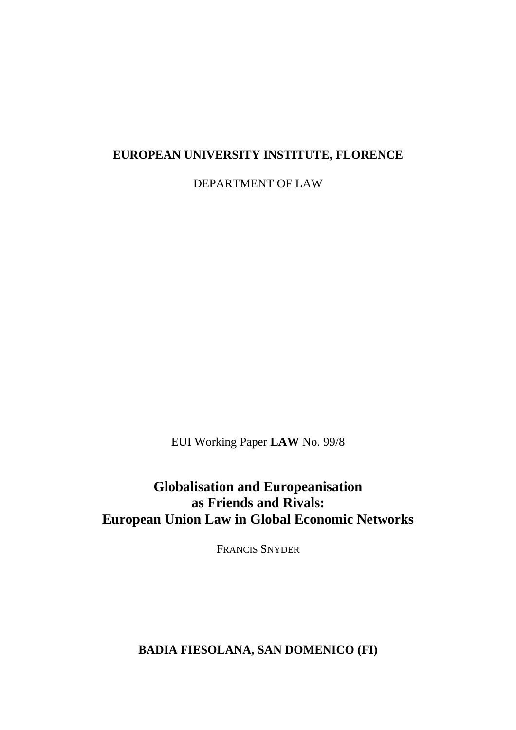#### **EUROPEAN UNIVERSITY INSTITUTE, FLORENCE**

DEPARTMENT OF LAW

EUI Working Paper **LAW** No. 99/8

**Globalisation and Europeanisation as Friends and Rivals: European Union Law in Global Economic Networks**

FRANCIS SNYDER

**BADIA FIESOLANA, SAN DOMENICO (FI)**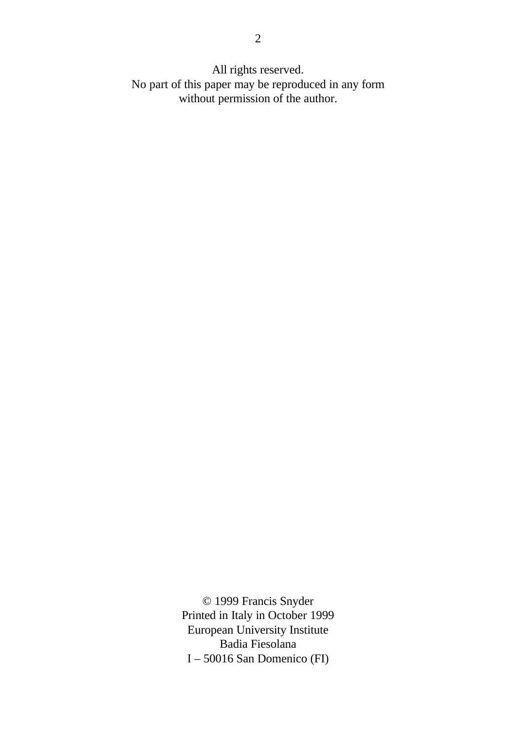All rights reserved. No part of this paper may be reproduced in any form without permission of the author.

> © 1999 Francis Snyder Printed in Italy in October 1999 European University Institute Badia Fiesolana I – 50016 San Domenico (FI)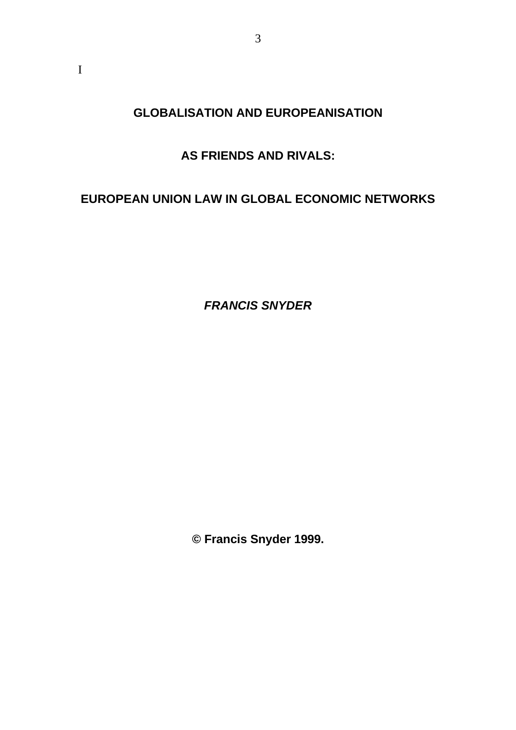**GLOBALISATION AND EUROPEANISATION**

3

## **AS FRIENDS AND RIVALS:**

## **EUROPEAN UNION LAW IN GLOBAL ECONOMIC NETWORKS**

*FRANCIS SNYDER*

**© Francis Snyder 1999.**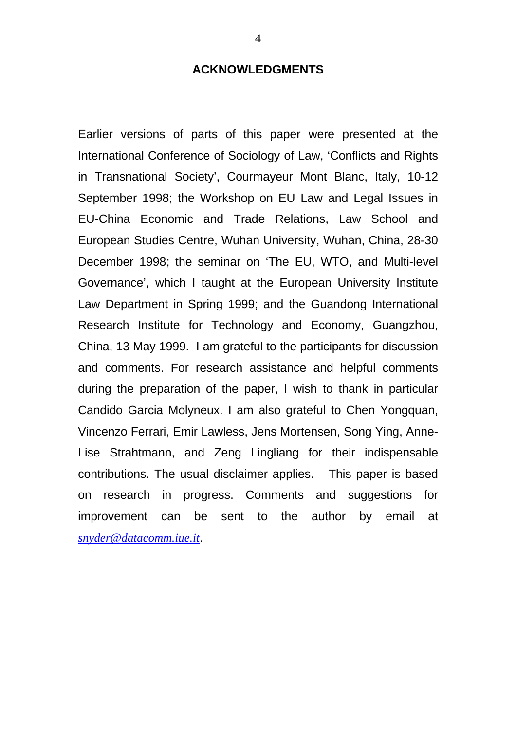#### **ACKNOWLEDGMENTS**

Earlier versions of parts of this paper were presented at the International Conference of Sociology of Law, 'Conflicts and Rights in Transnational Society', Courmayeur Mont Blanc, Italy, 10-12 September 1998; the Workshop on EU Law and Legal Issues in EU-China Economic and Trade Relations, Law School and European Studies Centre, Wuhan University, Wuhan, China, 28-30 December 1998; the seminar on 'The EU, WTO, and Multi-level Governance', which I taught at the European University Institute Law Department in Spring 1999; and the Guandong International Research Institute for Technology and Economy, Guangzhou, China, 13 May 1999. I am grateful to the participants for discussion and comments. For research assistance and helpful comments during the preparation of the paper, I wish to thank in particular Candido Garcia Molyneux. I am also grateful to Chen Yongquan, Vincenzo Ferrari, Emir Lawless, Jens Mortensen, Song Ying, Anne-Lise Strahtmann, and Zeng Lingliang for their indispensable contributions. The usual disclaimer applies. This paper is based on research in progress. Comments and suggestions for improvement can be sent to the author by email at *snyder@datacomm.iue.it*.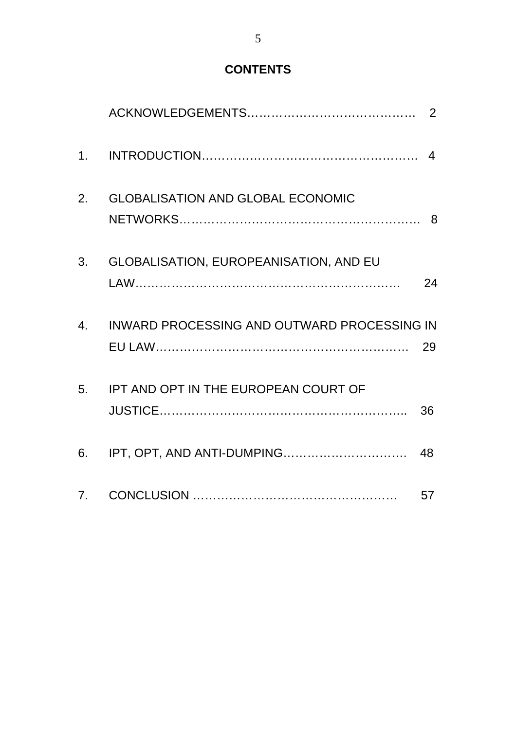# **CONTENTS**

| 2. | <b>GLOBALISATION AND GLOBAL ECONOMIC</b>       |    |
|----|------------------------------------------------|----|
| 3. | <b>GLOBALISATION, EUROPEANISATION, AND EU</b>  | 24 |
|    | 4. INWARD PROCESSING AND OUTWARD PROCESSING IN |    |
|    | 5. IPT AND OPT IN THE EUROPEAN COURT OF        | 36 |
|    |                                                |    |
|    |                                                | 57 |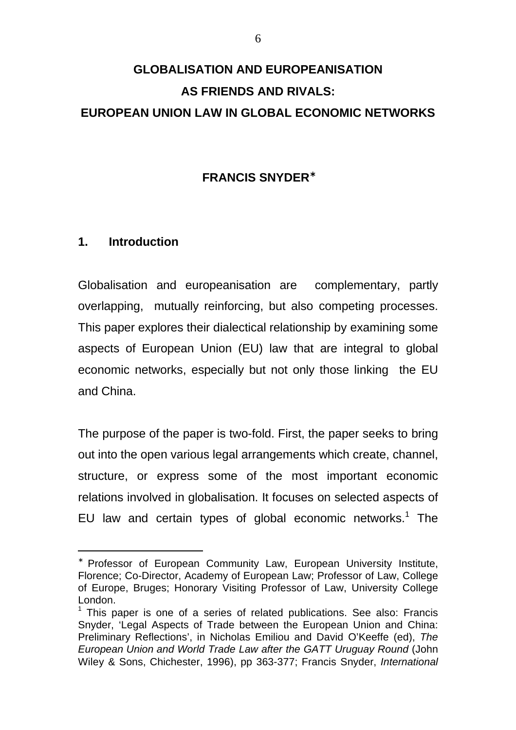# **GLOBALISATION AND EUROPEANISATION AS FRIENDS AND RIVALS: EUROPEAN UNION LAW IN GLOBAL ECONOMIC NETWORKS**

### **FRANCIS SNYDER**<sup>∗</sup>

#### **1. Introduction**

 $\overline{a}$ 

Globalisation and europeanisation are complementary, partly overlapping, mutually reinforcing, but also competing processes. This paper explores their dialectical relationship by examining some aspects of European Union (EU) law that are integral to global economic networks, especially but not only those linking the EU and China.

The purpose of the paper is two-fold. First, the paper seeks to bring out into the open various legal arrangements which create, channel, structure, or express some of the most important economic relations involved in globalisation. It focuses on selected aspects of EU law and certain types of global economic networks. $1$  The

<sup>∗</sup> Professor of European Community Law, European University Institute, Florence; Co-Director, Academy of European Law; Professor of Law, College of Europe, Bruges; Honorary Visiting Professor of Law, University College London.

 $1$  This paper is one of a series of related publications. See also: Francis Snyder, 'Legal Aspects of Trade between the European Union and China: Preliminary Reflections', in Nicholas Emiliou and David O'Keeffe (ed), *The European Union and World Trade Law after the GATT Uruguay Round* (John Wiley & Sons, Chichester, 1996), pp 363-377; Francis Snyder, *International*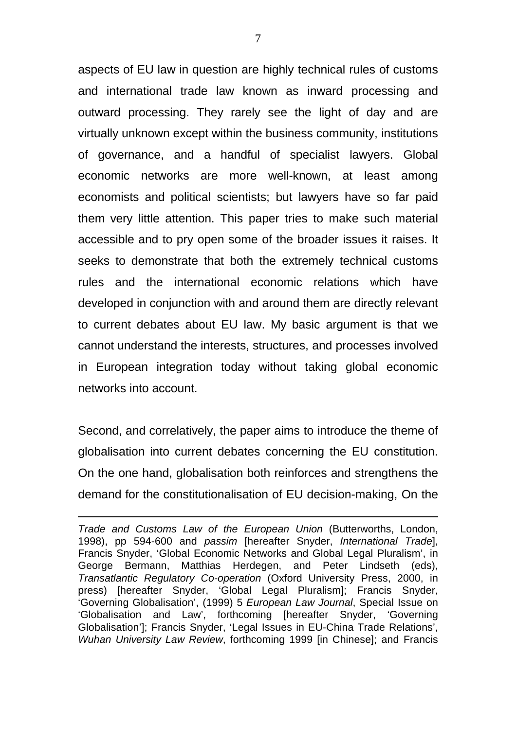aspects of EU law in question are highly technical rules of customs and international trade law known as inward processing and outward processing. They rarely see the light of day and are virtually unknown except within the business community, institutions of governance, and a handful of specialist lawyers. Global economic networks are more well-known, at least among economists and political scientists; but lawyers have so far paid them very little attention. This paper tries to make such material accessible and to pry open some of the broader issues it raises. It seeks to demonstrate that both the extremely technical customs rules and the international economic relations which have developed in conjunction with and around them are directly relevant to current debates about EU law. My basic argument is that we cannot understand the interests, structures, and processes involved in European integration today without taking global economic networks into account.

Second, and correlatively, the paper aims to introduce the theme of globalisation into current debates concerning the EU constitution. On the one hand, globalisation both reinforces and strengthens the demand for the constitutionalisation of EU decision-making, On the

*Trade and Customs Law of the European Union* (Butterworths, London, 1998), pp 594-600 and *passim* [hereafter Snyder, *International Trade*], Francis Snyder, 'Global Economic Networks and Global Legal Pluralism', in George Bermann, Matthias Herdegen, and Peter Lindseth (eds), *Transatlantic Regulatory Co-operation* (Oxford University Press, 2000, in press) [hereafter Snyder, 'Global Legal Pluralism]; Francis Snyder, 'Governing Globalisation', (1999) 5 *European Law Journal*, Special Issue on 'Globalisation and Law', forthcoming [hereafter Snyder, 'Governing Globalisation']; Francis Snyder, 'Legal Issues in EU-China Trade Relations', *Wuhan University Law Review*, forthcoming 1999 [in Chinese]; and Francis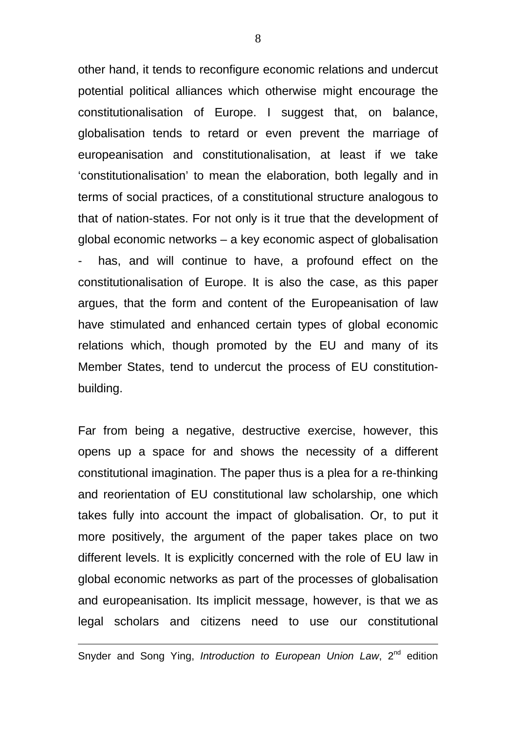other hand, it tends to reconfigure economic relations and undercut potential political alliances which otherwise might encourage the constitutionalisation of Europe. I suggest that, on balance, globalisation tends to retard or even prevent the marriage of europeanisation and constitutionalisation, at least if we take 'constitutionalisation' to mean the elaboration, both legally and in terms of social practices, of a constitutional structure analogous to that of nation-states. For not only is it true that the development of global economic networks – a key economic aspect of globalisation has, and will continue to have, a profound effect on the constitutionalisation of Europe. It is also the case, as this paper argues, that the form and content of the Europeanisation of law have stimulated and enhanced certain types of global economic relations which, though promoted by the EU and many of its Member States, tend to undercut the process of EU constitutionbuilding.

Far from being a negative, destructive exercise, however, this opens up a space for and shows the necessity of a different constitutional imagination. The paper thus is a plea for a re-thinking and reorientation of EU constitutional law scholarship, one which takes fully into account the impact of globalisation. Or, to put it more positively, the argument of the paper takes place on two different levels. It is explicitly concerned with the role of EU law in global economic networks as part of the processes of globalisation and europeanisation. Its implicit message, however, is that we as legal scholars and citizens need to use our constitutional

Snyder and Song Ying, *Introduction to European Union Law*, 2<sup>nd</sup> edition

 $\overline{a}$ 

8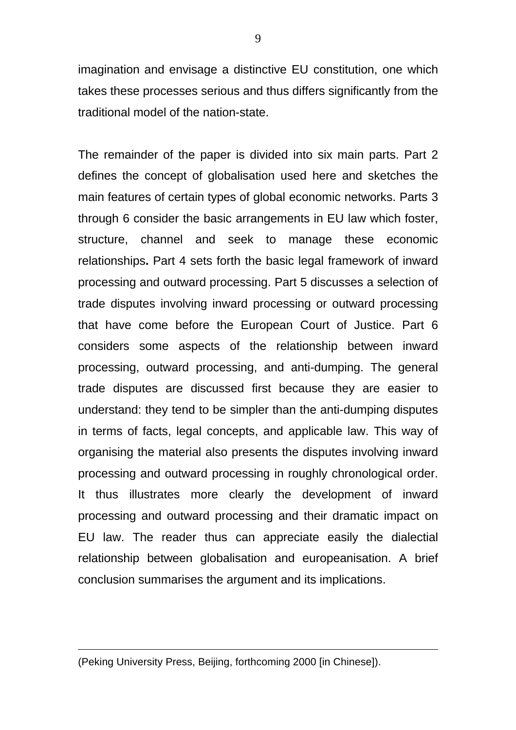imagination and envisage a distinctive EU constitution, one which takes these processes serious and thus differs significantly from the traditional model of the nation-state.

The remainder of the paper is divided into six main parts. Part 2 defines the concept of globalisation used here and sketches the main features of certain types of global economic networks. Parts 3 through 6 consider the basic arrangements in EU law which foster, structure, channel and seek to manage these economic relationships**.** Part 4 sets forth the basic legal framework of inward processing and outward processing. Part 5 discusses a selection of trade disputes involving inward processing or outward processing that have come before the European Court of Justice. Part 6 considers some aspects of the relationship between inward processing, outward processing, and anti-dumping. The general trade disputes are discussed first because they are easier to understand: they tend to be simpler than the anti-dumping disputes in terms of facts, legal concepts, and applicable law. This way of organising the material also presents the disputes involving inward processing and outward processing in roughly chronological order. It thus illustrates more clearly the development of inward processing and outward processing and their dramatic impact on EU law. The reader thus can appreciate easily the dialectial relationship between globalisation and europeanisation. A brief conclusion summarises the argument and its implications.

(Peking University Press, Beijing, forthcoming 2000 [in Chinese]).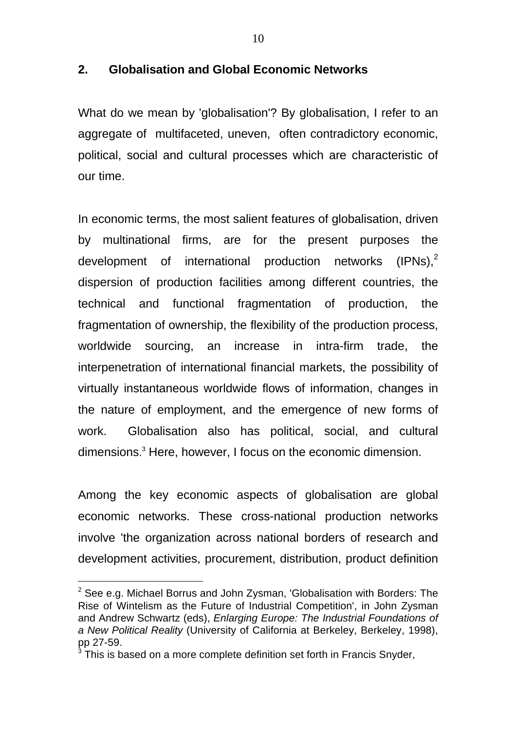### **2. Globalisation and Global Economic Networks**

What do we mean by 'globalisation'? By globalisation, I refer to an aggregate of multifaceted, uneven, often contradictory economic, political, social and cultural processes which are characteristic of our time.

In economic terms, the most salient features of globalisation, driven by multinational firms, are for the present purposes the development of international production networks  $(IPNs)<sup>2</sup>$ dispersion of production facilities among different countries, the technical and functional fragmentation of production, the fragmentation of ownership, the flexibility of the production process, worldwide sourcing, an increase in intra-firm trade, the interpenetration of international financial markets, the possibility of virtually instantaneous worldwide flows of information, changes in the nature of employment, and the emergence of new forms of work. Globalisation also has political, social, and cultural dimensions. 3 Here, however, I focus on the economic dimension.

Among the key economic aspects of globalisation are global economic networks. These cross-national production networks involve 'the organization across national borders of research and development activities, procurement, distribution, product definition

 $^{2}$  See e.g. Michael Borrus and John Zysman, 'Globalisation with Borders: The Rise of Wintelism as the Future of Industrial Competition', in John Zysman and Andrew Schwartz (eds), *Enlarging Europe: The Industrial Foundations of a New Political Reality* (University of California at Berkeley, Berkeley, 1998), pp 27-59.

<sup>3</sup> This is based on a more complete definition set forth in Francis Snyder,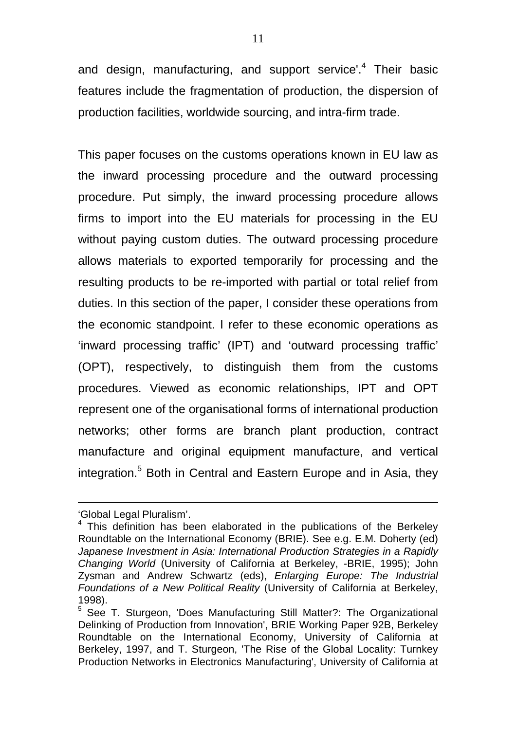and design, manufacturing, and support service'.<sup>4</sup> Their basic features include the fragmentation of production, the dispersion of production facilities, worldwide sourcing, and intra-firm trade.

This paper focuses on the customs operations known in EU law as the inward processing procedure and the outward processing procedure. Put simply, the inward processing procedure allows firms to import into the EU materials for processing in the EU without paying custom duties. The outward processing procedure allows materials to exported temporarily for processing and the resulting products to be re-imported with partial or total relief from duties. In this section of the paper, I consider these operations from the economic standpoint. I refer to these economic operations as 'inward processing traffic' (IPT) and 'outward processing traffic' (OPT), respectively, to distinguish them from the customs procedures. Viewed as economic relationships, IPT and OPT represent one of the organisational forms of international production networks; other forms are branch plant production, contract manufacture and original equipment manufacture, and vertical integration.<sup>5</sup> Both in Central and Eastern Europe and in Asia, they

<sup>&#</sup>x27;Global Legal Pluralism'.

<sup>&</sup>lt;sup>4</sup> This definition has been elaborated in the publications of the Berkeley Roundtable on the International Economy (BRIE). See e.g. E.M. Doherty (ed) *Japanese Investment in Asia: International Production Strategies in a Rapidly Changing World* (University of California at Berkeley, -BRIE, 1995); John Zysman and Andrew Schwartz (eds), *Enlarging Europe: The Industrial Foundations of a New Political Reality* (University of California at Berkeley, 1998).

<sup>&</sup>lt;sup>5</sup> See T. Sturgeon, 'Does Manufacturing Still Matter?: The Organizational Delinking of Production from Innovation', BRIE Working Paper 92B, Berkeley Roundtable on the International Economy, University of California at Berkeley, 1997, and T. Sturgeon, 'The Rise of the Global Locality: Turnkey Production Networks in Electronics Manufacturing', University of California at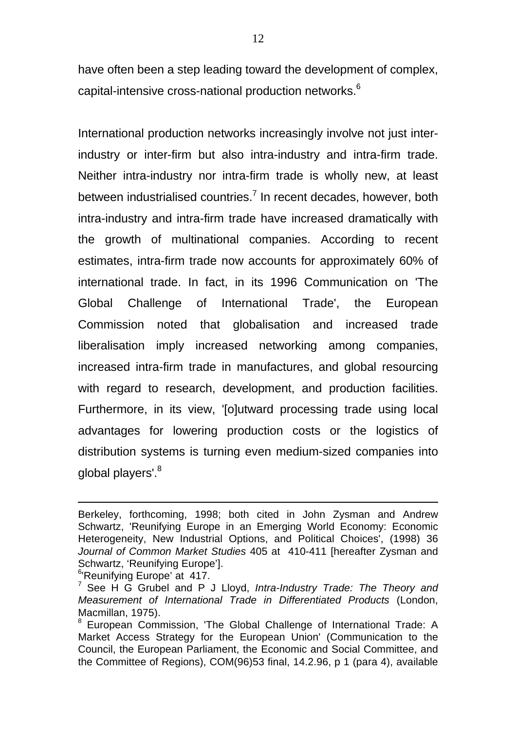have often been a step leading toward the development of complex, capital-intensive cross-national production networks.<sup>6</sup>

International production networks increasingly involve not just interindustry or inter-firm but also intra-industry and intra-firm trade. Neither intra-industry nor intra-firm trade is wholly new, at least between industrialised countries.<sup>7</sup> In recent decades, however, both intra-industry and intra-firm trade have increased dramatically with the growth of multinational companies. According to recent estimates, intra-firm trade now accounts for approximately 60% of international trade. In fact, in its 1996 Communication on 'The Global Challenge of International Trade', the European Commission noted that globalisation and increased trade liberalisation imply increased networking among companies, increased intra-firm trade in manufactures, and global resourcing with regard to research, development, and production facilities. Furthermore, in its view, '[o]utward processing trade using local advantages for lowering production costs or the logistics of distribution systems is turning even medium-sized companies into global players'.<sup>8</sup>

Berkeley, forthcoming, 1998; both cited in John Zysman and Andrew Schwartz, 'Reunifying Europe in an Emerging World Economy: Economic Heterogeneity, New Industrial Options, and Political Choices', (1998) 36 *Journal of Common Market Studies* 405 at 410-411 [hereafter Zysman and Schwartz, 'Reunifying Europe'].

<sup>&</sup>lt;sup>6</sup>Reunifying Europe' at 417.

<sup>7</sup> See H G Grubel and P J Lloyd, *Intra-Industry Trade: The Theory and Measurement of International Trade in Differentiated Products* (London, Macmillan, 1975).

<sup>&</sup>lt;sup>8</sup> European Commission, 'The Global Challenge of International Trade: A Market Access Strategy for the European Union' (Communication to the Council, the European Parliament, the Economic and Social Committee, and the Committee of Regions), COM(96)53 final, 14.2.96, p 1 (para 4), available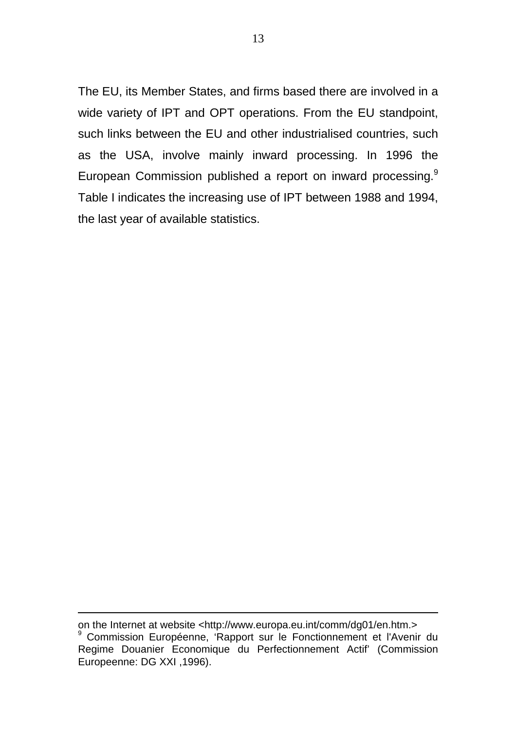The EU, its Member States, and firms based there are involved in a wide variety of IPT and OPT operations. From the EU standpoint, such links between the EU and other industrialised countries, such as the USA, involve mainly inward processing. In 1996 the European Commission published a report on inward processing.<sup>9</sup> Table I indicates the increasing use of IPT between 1988 and 1994, the last year of available statistics.

on the Internet at website <http://www.europa.eu.int/comm/dg01/en.htm.> 9 Commission Européenne, 'Rapport sur le Fonctionnement et l'Avenir du Regime Douanier Economique du Perfectionnement Actif' (Commission Europeenne: DG XXI ,1996).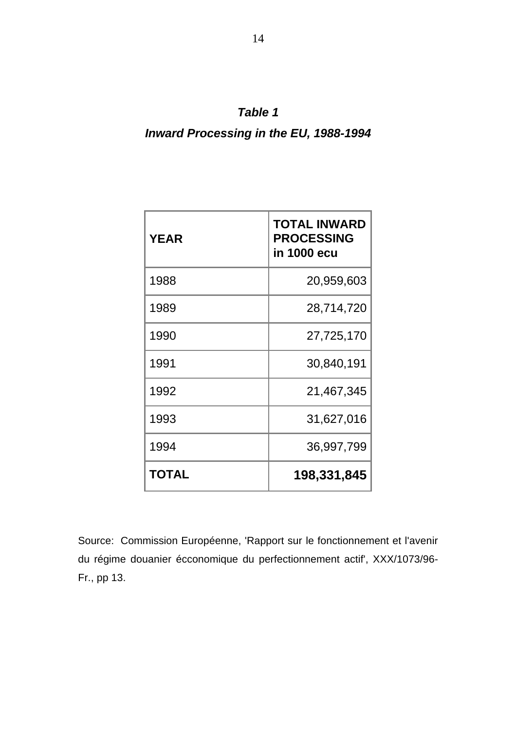## *Table 1*

# *Inward Processing in the EU, 1988-1994*

| <b>YEAR</b>  | <b>TOTAL INWARD</b><br><b>PROCESSING</b><br>in 1000 ecu |  |
|--------------|---------------------------------------------------------|--|
| 1988         | 20,959,603                                              |  |
| 1989         | 28,714,720                                              |  |
| 1990         | 27,725,170                                              |  |
| 1991         | 30,840,191                                              |  |
| 1992         | 21,467,345                                              |  |
| 1993         | 31,627,016                                              |  |
| 1994         | 36,997,799                                              |  |
| <b>TOTAL</b> | 198,331,845                                             |  |

Source: Commission Européenne, 'Rapport sur le fonctionnement et l'avenir du régime douanier écconomique du perfectionnement actif', XXX/1073/96- Fr., pp 13.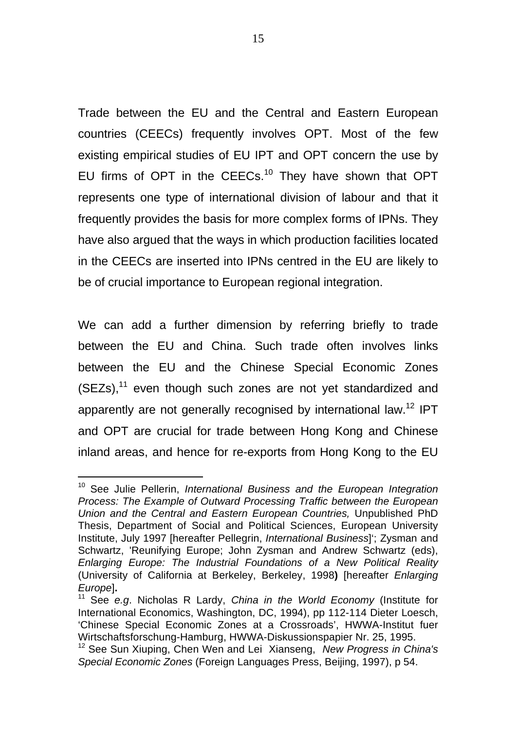Trade between the EU and the Central and Eastern European countries (CEECs) frequently involves OPT. Most of the few existing empirical studies of EU IPT and OPT concern the use by EU firms of OPT in the CEECs.<sup>10</sup> They have shown that OPT represents one type of international division of labour and that it frequently provides the basis for more complex forms of IPNs. They have also argued that the ways in which production facilities located in the CEECs are inserted into IPNs centred in the EU are likely to be of crucial importance to European regional integration.

We can add a further dimension by referring briefly to trade between the EU and China. Such trade often involves links between the EU and the Chinese Special Economic Zones  $(SEZs)$ ,<sup>11</sup> even though such zones are not yet standardized and apparently are not generally recognised by international law.<sup>12</sup> IPT and OPT are crucial for trade between Hong Kong and Chinese inland areas, and hence for re-exports from Hong Kong to the EU

<sup>10</sup> See Julie Pellerin, *International Business and the European Integration Process: The Example of Outward Processing Traffic between the European Union and the Central and Eastern European Countries,* Unpublished PhD Thesis, Department of Social and Political Sciences, European University Institute, July 1997 [hereafter Pellegrin, *International Business*]'; Zysman and Schwartz, 'Reunifying Europe; John Zysman and Andrew Schwartz (eds), *Enlarging Europe: The Industrial Foundations of a New Political Reality* (University of California at Berkeley, Berkeley, 1998**)** [hereafter *Enlarging Europe*]**.**

<sup>11</sup> See *e.g*. Nicholas R Lardy, *China in the World Economy* (Institute for International Economics, Washington, DC, 1994), pp 112-114 Dieter Loesch, 'Chinese Special Economic Zones at a Crossroads', HWWA-Institut fuer Wirtschaftsforschung-Hamburg, HWWA-Diskussionspapier Nr. 25, 1995.

<sup>12</sup> See Sun Xiuping, Chen Wen and Lei Xianseng, *New Progress in China's Special Economic Zones* (Foreign Languages Press, Beijing, 1997), p 54.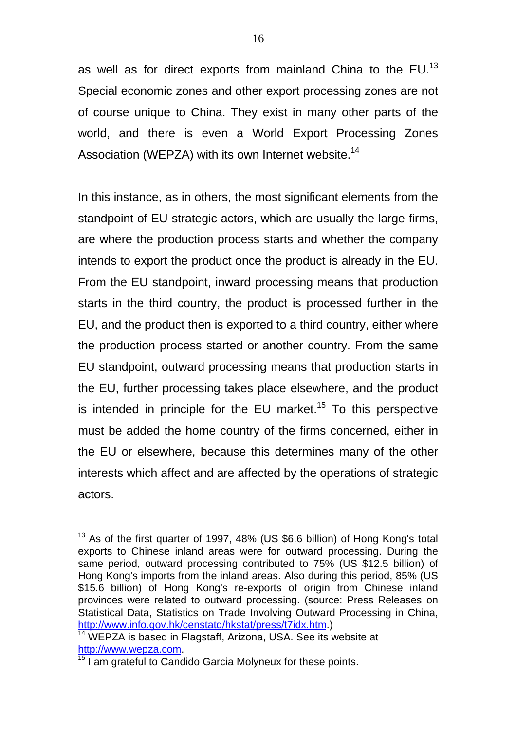as well as for direct exports from mainland China to the EU.<sup>13</sup> Special economic zones and other export processing zones are not of course unique to China. They exist in many other parts of the world, and there is even a World Export Processing Zones Association (WEPZA) with its own Internet website.<sup>14</sup>

In this instance, as in others, the most significant elements from the standpoint of EU strategic actors, which are usually the large firms, are where the production process starts and whether the company intends to export the product once the product is already in the EU. From the EU standpoint, inward processing means that production starts in the third country, the product is processed further in the EU, and the product then is exported to a third country, either where the production process started or another country. From the same EU standpoint, outward processing means that production starts in the EU, further processing takes place elsewhere, and the product is intended in principle for the EU market.<sup>15</sup> To this perspective must be added the home country of the firms concerned, either in the EU or elsewhere, because this determines many of the other interests which affect and are affected by the operations of strategic actors.

 $13$  As of the first quarter of 1997, 48% (US \$6.6 billion) of Hong Kong's total exports to Chinese inland areas were for outward processing. During the same period, outward processing contributed to 75% (US \$12.5 billion) of Hong Kong's imports from the inland areas. Also during this period, 85% (US \$15.6 billion) of Hong Kong's re-exports of origin from Chinese inland provinces were related to outward processing. (source: Press Releases on Statistical Data, Statistics on Trade Involving Outward Processing in China, http://www.info.gov.hk/censtatd/hkstat/press/t7idx.htm.)

<sup>&</sup>lt;sup>14</sup> WEPZA is based in Flagstaff, Arizona, USA. See its website at http://www.wepza.com.

 $\frac{15}{15}$  I am grateful to Candido Garcia Molyneux for these points.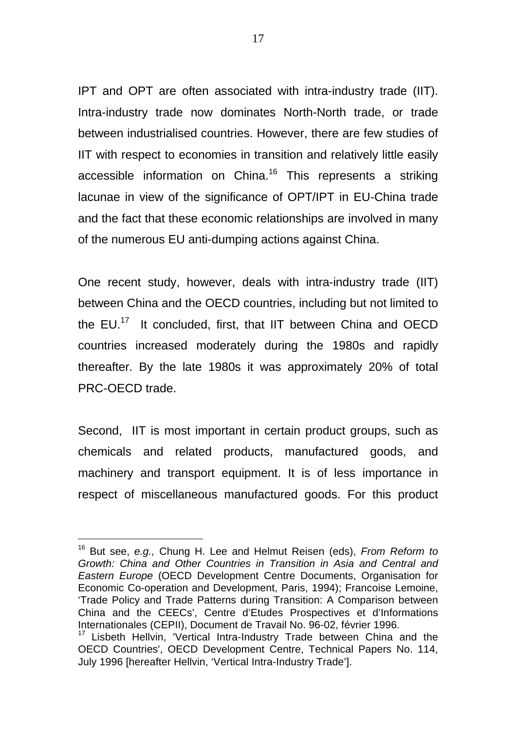IPT and OPT are often associated with intra-industry trade (IIT). Intra-industry trade now dominates North-North trade, or trade between industrialised countries. However, there are few studies of IIT with respect to economies in transition and relatively little easily accessible information on China.<sup>16</sup> This represents a striking lacunae in view of the significance of OPT/IPT in EU-China trade and the fact that these economic relationships are involved in many of the numerous EU anti-dumping actions against China.

One recent study, however, deals with intra-industry trade (IIT) between China and the OECD countries, including but not limited to the EU.<sup>17</sup> It concluded, first, that IIT between China and OECD countries increased moderately during the 1980s and rapidly thereafter. By the late 1980s it was approximately 20% of total PRC-OECD trade.

Second, IIT is most important in certain product groups, such as chemicals and related products, manufactured goods, and machinery and transport equipment. It is of less importance in respect of miscellaneous manufactured goods. For this product

<sup>16</sup> But see, *e.g.,* Chung H. Lee and Helmut Reisen (eds), *From Reform to Growth: China and Other Countries in Transition in Asia and Central and Eastern Europe* (OECD Development Centre Documents, Organisation for Economic Co-operation and Development, Paris, 1994); Francoise Lemoine, 'Trade Policy and Trade Patterns during Transition: A Comparison between China and the CEECs', Centre d'Etudes Prospectives et d'Informations Internationales (CEPII), Document de Travail No. 96-02, février 1996.

<sup>&</sup>lt;sup>17</sup> Lisbeth Hellvin, 'Vertical Intra-Industry Trade between China and the OECD Countries', OECD Development Centre, Technical Papers No. 114, July 1996 [hereafter Hellvin, 'Vertical Intra-Industry Trade'].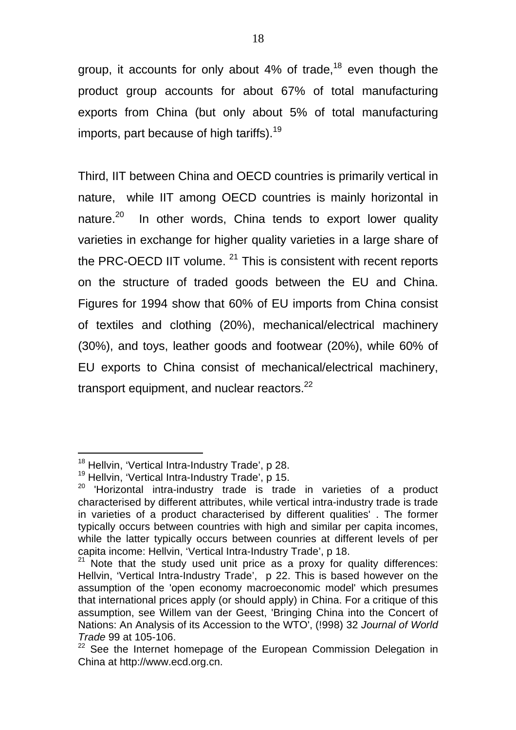group, it accounts for only about  $4\%$  of trade,<sup>18</sup> even though the product group accounts for about 67% of total manufacturing exports from China (but only about 5% of total manufacturing imports, part because of high tariffs).<sup>19</sup>

Third, IIT between China and OECD countries is primarily vertical in nature, while IIT among OECD countries is mainly horizontal in nature.<sup>20</sup> In other words, China tends to export lower quality varieties in exchange for higher quality varieties in a large share of the PRC-OECD IIT volume.  $21$  This is consistent with recent reports on the structure of traded goods between the EU and China. Figures for 1994 show that 60% of EU imports from China consist of textiles and clothing (20%), mechanical/electrical machinery (30%), and toys, leather goods and footwear (20%), while 60% of EU exports to China consist of mechanical/electrical machinery, transport equipment, and nuclear reactors. $22$ 

<sup>&</sup>lt;sup>18</sup> Hellvin, 'Vertical Intra-Industry Trade', p 28.

<sup>&</sup>lt;sup>19</sup> Hellvin, 'Vertical Intra-Industry Trade', p 15.

<sup>&</sup>lt;sup>20</sup> 'Horizontal intra-industry trade is trade in varieties of a product characterised by different attributes, while vertical intra-industry trade is trade in varieties of a product characterised by different qualities' . The former typically occurs between countries with high and similar per capita incomes, while the latter typically occurs between counries at different levels of per capita income: Hellvin, 'Vertical Intra-Industry Trade', p 18.

<sup>&</sup>lt;sup>21</sup> Note that the study used unit price as a proxy for quality differences: Hellvin, 'Vertical Intra-Industry Trade', p 22. This is based however on the assumption of the 'open economy macroeconomic model' which presumes that international prices apply (or should apply) in China. For a critique of this assumption, see Willem van der Geest, 'Bringing China into the Concert of Nations: An Analysis of its Accession to the WTO', (!998) 32 *Journal of World Trade* 99 at 105-106.

<sup>22</sup> See the Internet homepage of the European Commission Delegation in China at http://www.ecd.org.cn.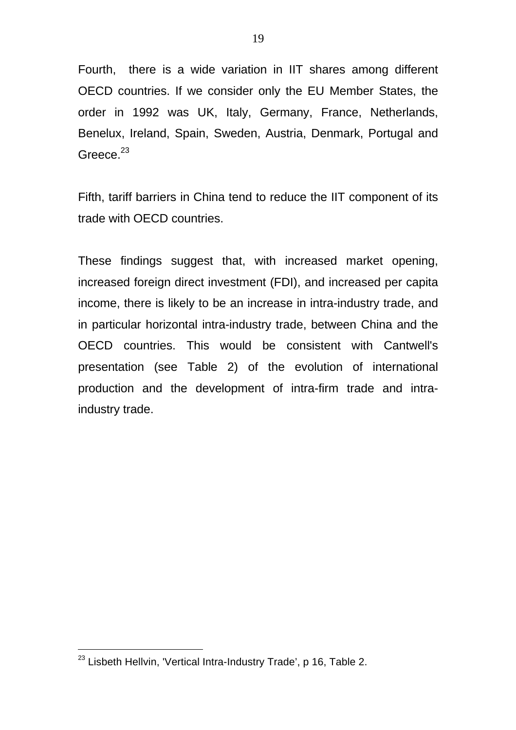Fourth, there is a wide variation in IIT shares among different OECD countries. If we consider only the EU Member States, the order in 1992 was UK, Italy, Germany, France, Netherlands, Benelux, Ireland, Spain, Sweden, Austria, Denmark, Portugal and Greece. $23$ 

Fifth, tariff barriers in China tend to reduce the IIT component of its trade with OECD countries.

These findings suggest that, with increased market opening, increased foreign direct investment (FDI), and increased per capita income, there is likely to be an increase in intra-industry trade, and in particular horizontal intra-industry trade, between China and the OECD countries. This would be consistent with Cantwell's presentation (see Table 2) of the evolution of international production and the development of intra-firm trade and intraindustry trade.

 $^{23}$  Lisbeth Hellvin, 'Vertical Intra-Industry Trade', p 16, Table 2.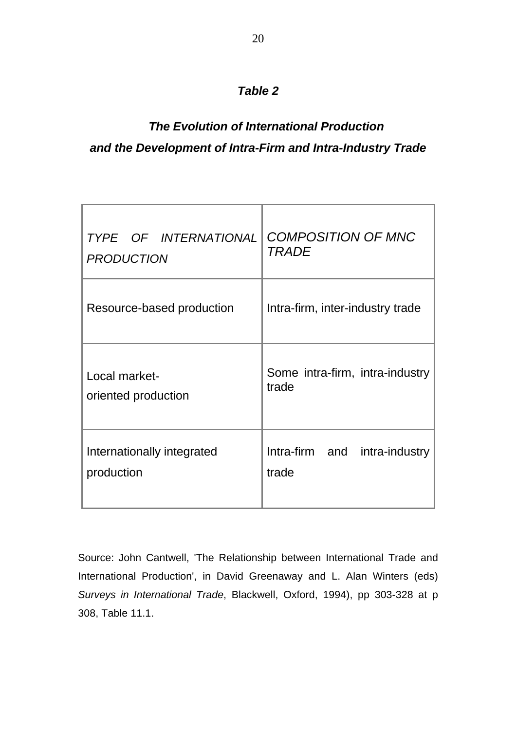### *Table 2*

# *The Evolution of International Production and the Development of Intra-Firm and Intra-Industry Trade*

| TYPE OF INTERNATIONAL      | <b>COMPOSITION OF MNC</b>        |
|----------------------------|----------------------------------|
| <b>PRODUCTION</b>          | <b>TRADE</b>                     |
| Resource-based production  | Intra-firm, inter-industry trade |
| Local market-              | Some intra-firm, intra-industry  |
| oriented production        | trade                            |
| Internationally integrated | Intra-firm and intra-industry    |
| production                 | trade                            |

Source: John Cantwell, 'The Relationship between International Trade and International Production', in David Greenaway and L. Alan Winters (eds) *Surveys in International Trade*, Blackwell, Oxford, 1994), pp 303-328 at p 308, Table 11.1.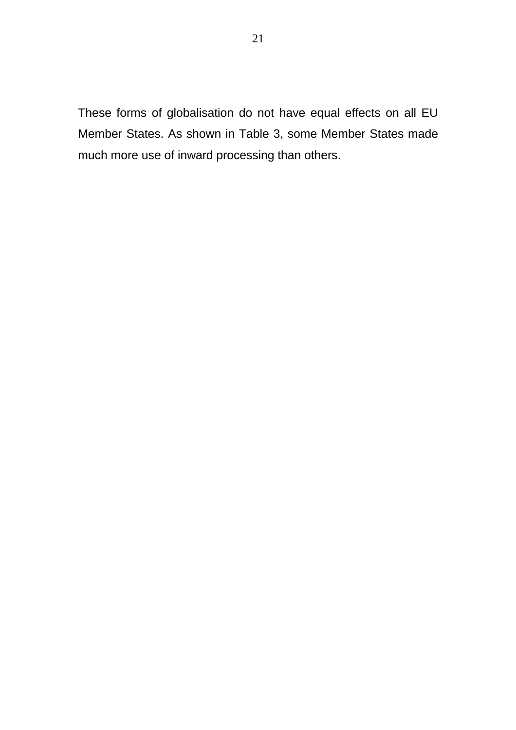These forms of globalisation do not have equal effects on all EU Member States. As shown in Table 3, some Member States made much more use of inward processing than others.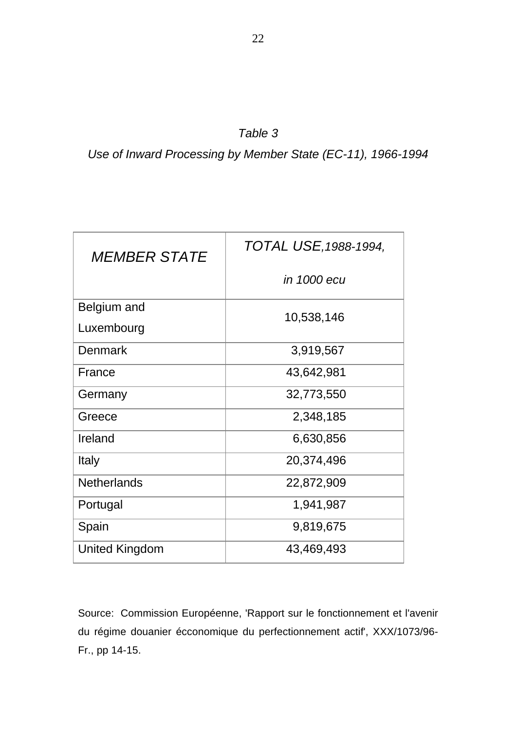*Use of Inward Processing by Member State (EC-11), 1966-1994*

| <b>MEMBER STATE</b>   | TOTAL USE, 1988-1994, |  |
|-----------------------|-----------------------|--|
|                       | in 1000 ecu           |  |
| Belgium and           | 10,538,146            |  |
| Luxembourg            |                       |  |
| <b>Denmark</b>        | 3,919,567             |  |
| France                | 43,642,981            |  |
| Germany               | 32,773,550            |  |
| Greece                | 2,348,185             |  |
| Ireland               | 6,630,856             |  |
| Italy                 | 20,374,496            |  |
| <b>Netherlands</b>    | 22,872,909            |  |
| Portugal              | 1,941,987             |  |
| Spain                 | 9,819,675             |  |
| <b>United Kingdom</b> | 43,469,493            |  |

Source: Commission Européenne, 'Rapport sur le fonctionnement et l'avenir du régime douanier écconomique du perfectionnement actif', XXX/1073/96- Fr., pp 14-15.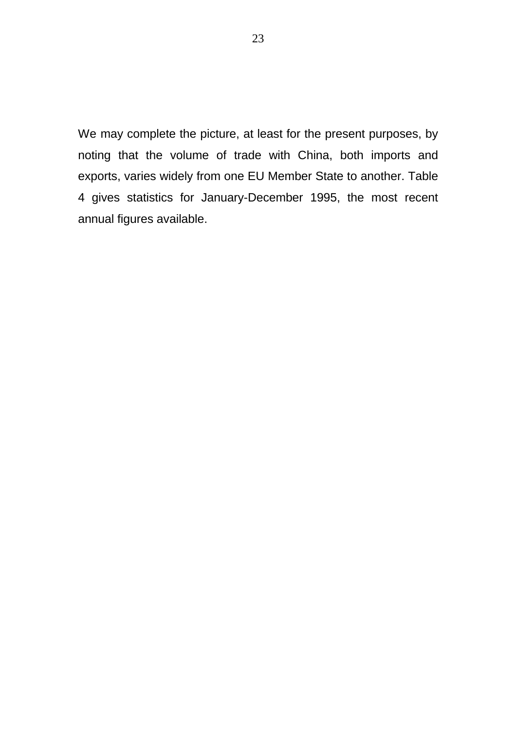We may complete the picture, at least for the present purposes, by noting that the volume of trade with China, both imports and exports, varies widely from one EU Member State to another. Table 4 gives statistics for January-December 1995, the most recent annual figures available.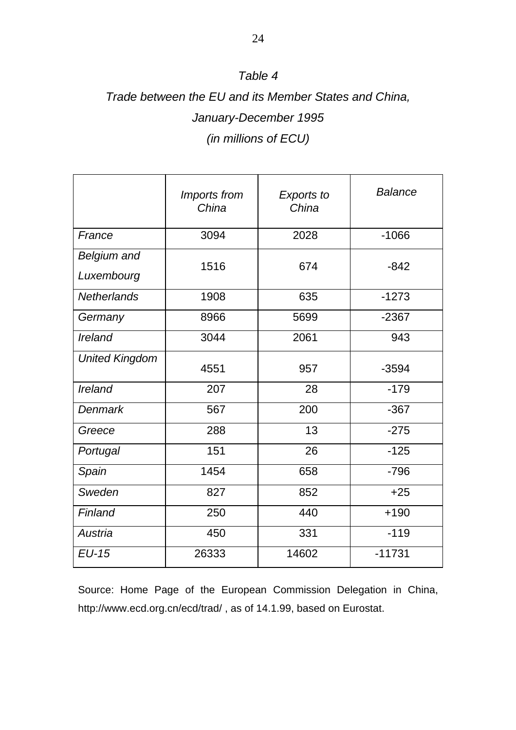### *Table 4*

# *Trade between the EU and its Member States and China, January-December 1995 (in millions of ECU)*

|                                  | Imports from<br>China | <b>Exports to</b><br>China | <b>Balance</b> |
|----------------------------------|-----------------------|----------------------------|----------------|
| France                           | 3094                  | 2028                       | $-1066$        |
| <b>Belgium and</b><br>Luxembourg | 1516                  | 674                        | $-842$         |
| <b>Netherlands</b>               | 1908                  | 635                        | $-1273$        |
| Germany                          | 8966                  | 5699                       | $-2367$        |
| Ireland                          | 3044                  | 2061                       | 943            |
| <b>United Kingdom</b>            | 4551                  | 957                        | $-3594$        |
| <b>Ireland</b>                   | 207                   | 28                         | $-179$         |
| <b>Denmark</b>                   | 567                   | 200                        | $-367$         |
| Greece                           | 288                   | 13                         | $-275$         |
| Portugal                         | 151                   | 26                         | $-125$         |
| Spain                            | 1454                  | 658                        | $-796$         |
| Sweden                           | 827                   | 852                        | $+25$          |
| Finland                          | 250                   | 440                        | $+190$         |
| Austria                          | 450                   | 331                        | $-119$         |
| $EU-15$                          | 26333                 | 14602                      | $-11731$       |

Source: Home Page of the European Commission Delegation in China, http://www.ecd.org.cn/ecd/trad/ , as of 14.1.99, based on Eurostat.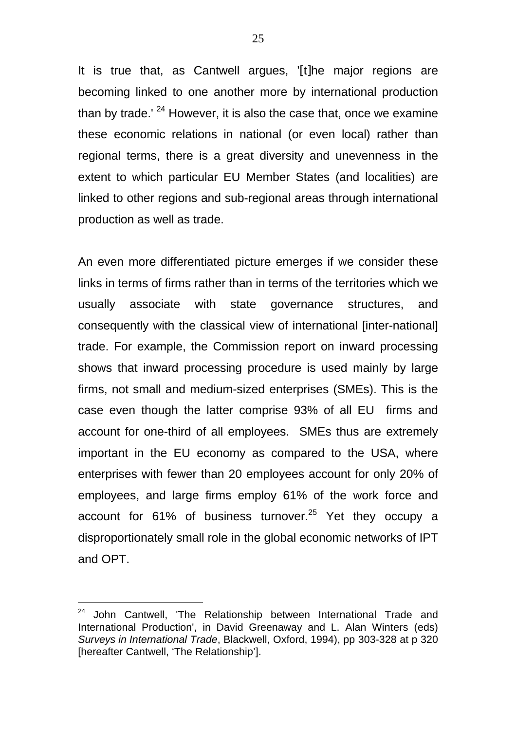It is true that, as Cantwell argues, '[t]he major regions are becoming linked to one another more by international production than by trade.'  $24$  However, it is also the case that, once we examine these economic relations in national (or even local) rather than regional terms, there is a great diversity and unevenness in the extent to which particular EU Member States (and localities) are linked to other regions and sub-regional areas through international production as well as trade.

An even more differentiated picture emerges if we consider these links in terms of firms rather than in terms of the territories which we usually associate with state governance structures, and consequently with the classical view of international [inter-national] trade. For example, the Commission report on inward processing shows that inward processing procedure is used mainly by large firms, not small and medium-sized enterprises (SMEs). This is the case even though the latter comprise 93% of all EU firms and account for one-third of all employees. SMEs thus are extremely important in the EU economy as compared to the USA, where enterprises with fewer than 20 employees account for only 20% of employees, and large firms employ 61% of the work force and account for  $61\%$  of business turnover.<sup>25</sup> Yet they occupy a disproportionately small role in the global economic networks of IPT and OPT.

<sup>24</sup> John Cantwell. 'The Relationship between International Trade and International Production', in David Greenaway and L. Alan Winters (eds) *Surveys in International Trade*, Blackwell, Oxford, 1994), pp 303-328 at p 320 [hereafter Cantwell, 'The Relationship'].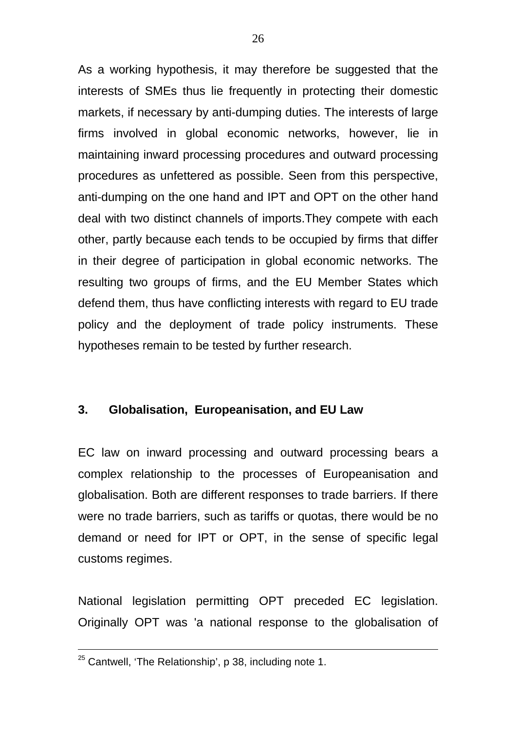As a working hypothesis, it may therefore be suggested that the interests of SMEs thus lie frequently in protecting their domestic markets, if necessary by anti-dumping duties. The interests of large firms involved in global economic networks, however, lie in maintaining inward processing procedures and outward processing procedures as unfettered as possible. Seen from this perspective, anti-dumping on the one hand and IPT and OPT on the other hand deal with two distinct channels of imports.They compete with each other, partly because each tends to be occupied by firms that differ in their degree of participation in global economic networks. The resulting two groups of firms, and the EU Member States which defend them, thus have conflicting interests with regard to EU trade policy and the deployment of trade policy instruments. These hypotheses remain to be tested by further research.

### **3. Globalisation, Europeanisation, and EU Law**

EC law on inward processing and outward processing bears a complex relationship to the processes of Europeanisation and globalisation. Both are different responses to trade barriers. If there were no trade barriers, such as tariffs or quotas, there would be no demand or need for IPT or OPT, in the sense of specific legal customs regimes.

National legislation permitting OPT preceded EC legislation. Originally OPT was 'a national response to the globalisation of

 $25$  Cantwell, 'The Relationship', p 38, including note 1.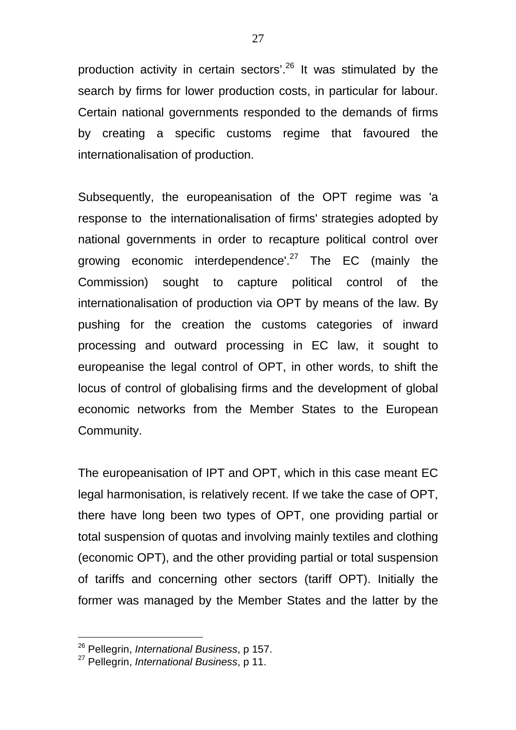production activity in certain sectors'.<sup>26</sup> It was stimulated by the search by firms for lower production costs, in particular for labour. Certain national governments responded to the demands of firms by creating a specific customs regime that favoured the internationalisation of production.

Subsequently, the europeanisation of the OPT regime was 'a response to the internationalisation of firms' strategies adopted by national governments in order to recapture political control over growing economic interdependence'. $27$  The EC (mainly the Commission) sought to capture political control of the internationalisation of production via OPT by means of the law. By pushing for the creation the customs categories of inward processing and outward processing in EC law, it sought to europeanise the legal control of OPT, in other words, to shift the locus of control of globalising firms and the development of global economic networks from the Member States to the European Community.

The europeanisation of IPT and OPT, which in this case meant EC legal harmonisation, is relatively recent. If we take the case of OPT, there have long been two types of OPT, one providing partial or total suspension of quotas and involving mainly textiles and clothing (economic OPT), and the other providing partial or total suspension of tariffs and concerning other sectors (tariff OPT). Initially the former was managed by the Member States and the latter by the

<sup>26</sup> Pellegrin, *International Business*, p 157.

<sup>27</sup> Pellegrin, *International Business*, p 11.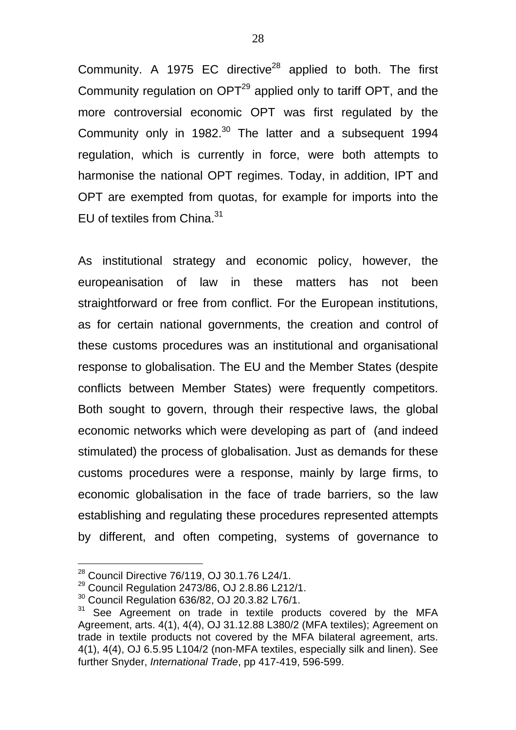Community. A 1975 EC directive $^{28}$  applied to both. The first Community regulation on OPT<sup>29</sup> applied only to tariff OPT, and the more controversial economic OPT was first regulated by the Community only in 1982.<sup>30</sup> The latter and a subsequent 1994 regulation, which is currently in force, were both attempts to harmonise the national OPT regimes. Today, in addition, IPT and OPT are exempted from quotas, for example for imports into the EU of textiles from China.<sup>31</sup>

As institutional strategy and economic policy, however, the europeanisation of law in these matters has not been straightforward or free from conflict. For the European institutions, as for certain national governments, the creation and control of these customs procedures was an institutional and organisational response to globalisation. The EU and the Member States (despite conflicts between Member States) were frequently competitors. Both sought to govern, through their respective laws, the global economic networks which were developing as part of (and indeed stimulated) the process of globalisation. Just as demands for these customs procedures were a response, mainly by large firms, to economic globalisation in the face of trade barriers, so the law establishing and regulating these procedures represented attempts by different, and often competing, systems of governance to

 $^{28}$  Council Directive 76/119, OJ 30.1.76 L24/1.

<sup>29</sup> Council Regulation 2473/86, OJ 2.8.86 L212/1.

<sup>30</sup> Council Regulation 636/82, OJ 20.3.82 L76/1.

<sup>&</sup>lt;sup>31</sup> See Agreement on trade in textile products covered by the MFA Agreement, arts. 4(1), 4(4), OJ 31.12.88 L380/2 (MFA textiles); Agreement on trade in textile products not covered by the MFA bilateral agreement, arts. 4(1), 4(4), OJ 6.5.95 L104/2 (non-MFA textiles, especially silk and linen). See further Snyder, *International Trade*, pp 417-419, 596-599.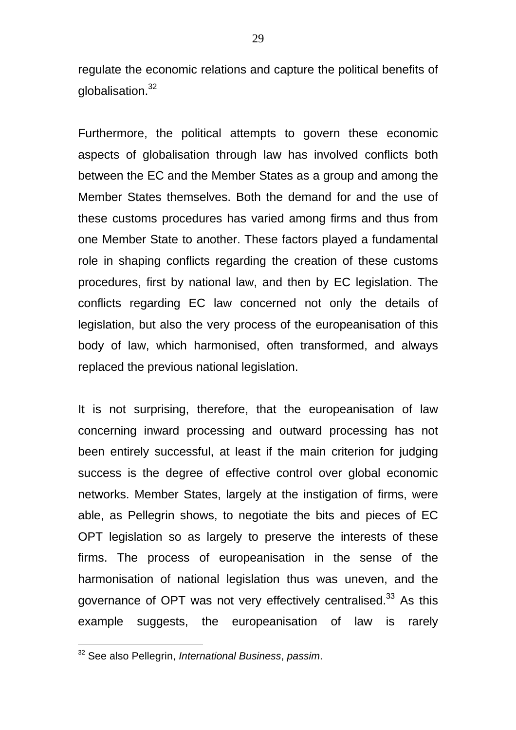regulate the economic relations and capture the political benefits of globalisation. $32$ 

Furthermore, the political attempts to govern these economic aspects of globalisation through law has involved conflicts both between the EC and the Member States as a group and among the Member States themselves. Both the demand for and the use of these customs procedures has varied among firms and thus from one Member State to another. These factors played a fundamental role in shaping conflicts regarding the creation of these customs procedures, first by national law, and then by EC legislation. The conflicts regarding EC law concerned not only the details of legislation, but also the very process of the europeanisation of this body of law, which harmonised, often transformed, and always replaced the previous national legislation.

It is not surprising, therefore, that the europeanisation of law concerning inward processing and outward processing has not been entirely successful, at least if the main criterion for judging success is the degree of effective control over global economic networks. Member States, largely at the instigation of firms, were able, as Pellegrin shows, to negotiate the bits and pieces of EC OPT legislation so as largely to preserve the interests of these firms. The process of europeanisation in the sense of the harmonisation of national legislation thus was uneven, and the governance of OPT was not very effectively centralised.<sup>33</sup> As this example suggests, the europeanisation of law is rarely

<sup>32</sup> See also Pellegrin, *International Business*, *passim*.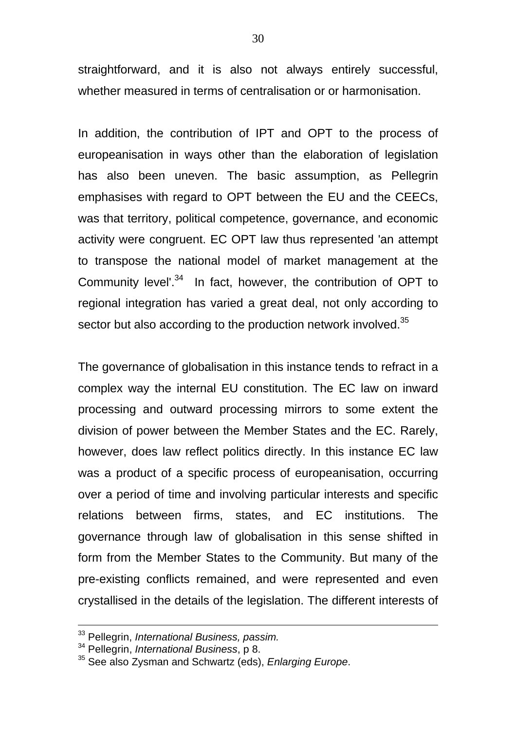straightforward, and it is also not always entirely successful, whether measured in terms of centralisation or or harmonisation.

In addition, the contribution of IPT and OPT to the process of europeanisation in ways other than the elaboration of legislation has also been uneven. The basic assumption, as Pellegrin emphasises with regard to OPT between the EU and the CEECs, was that territory, political competence, governance, and economic activity were congruent. EC OPT law thus represented 'an attempt to transpose the national model of market management at the Community level'.<sup>34</sup> In fact, however, the contribution of OPT to regional integration has varied a great deal, not only according to sector but also according to the production network involved.<sup>35</sup>

The governance of globalisation in this instance tends to refract in a complex way the internal EU constitution. The EC law on inward processing and outward processing mirrors to some extent the division of power between the Member States and the EC. Rarely, however, does law reflect politics directly. In this instance EC law was a product of a specific process of europeanisation, occurring over a period of time and involving particular interests and specific relations between firms, states, and EC institutions. The governance through law of globalisation in this sense shifted in form from the Member States to the Community. But many of the pre-existing conflicts remained, and were represented and even crystallised in the details of the legislation. The different interests of

<sup>33</sup> Pellegrin, *International Business, passim.*

<sup>34</sup> Pellegrin, *International Business*, p 8.

<sup>35</sup> See also Zysman and Schwartz (eds), *Enlarging Europe*.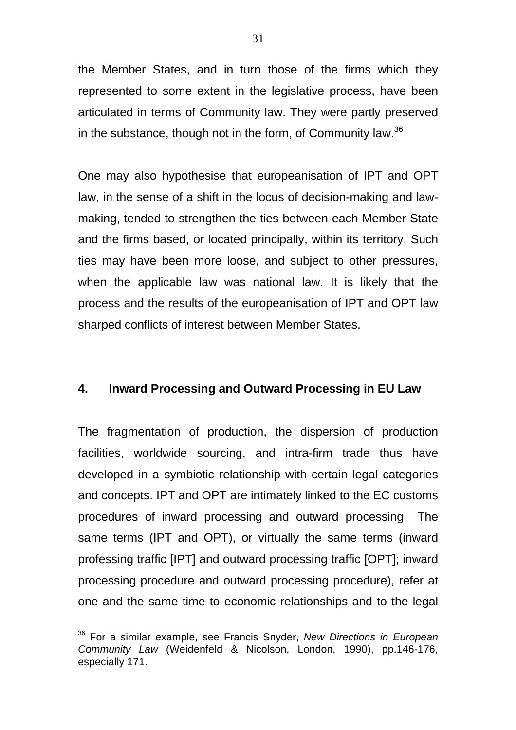the Member States, and in turn those of the firms which they represented to some extent in the legislative process, have been articulated in terms of Community law. They were partly preserved in the substance, though not in the form, of Community law.<sup>36</sup>

One may also hypothesise that europeanisation of IPT and OPT law, in the sense of a shift in the locus of decision-making and lawmaking, tended to strengthen the ties between each Member State and the firms based, or located principally, within its territory. Such ties may have been more loose, and subject to other pressures, when the applicable law was national law. It is likely that the process and the results of the europeanisation of IPT and OPT law sharped conflicts of interest between Member States.

#### **4. Inward Processing and Outward Processing in EU Law**

The fragmentation of production, the dispersion of production facilities, worldwide sourcing, and intra-firm trade thus have developed in a symbiotic relationship with certain legal categories and concepts. IPT and OPT are intimately linked to the EC customs procedures of inward processing and outward processing The same terms (IPT and OPT), or virtually the same terms (inward professing traffic [IPT] and outward processing traffic [OPT]; inward processing procedure and outward processing procedure), refer at one and the same time to economic relationships and to the legal

<sup>36</sup> For a similar example, see Francis Snyder, *New Directions in European Community Law* (Weidenfeld & Nicolson, London, 1990), pp.146-176, especially 171.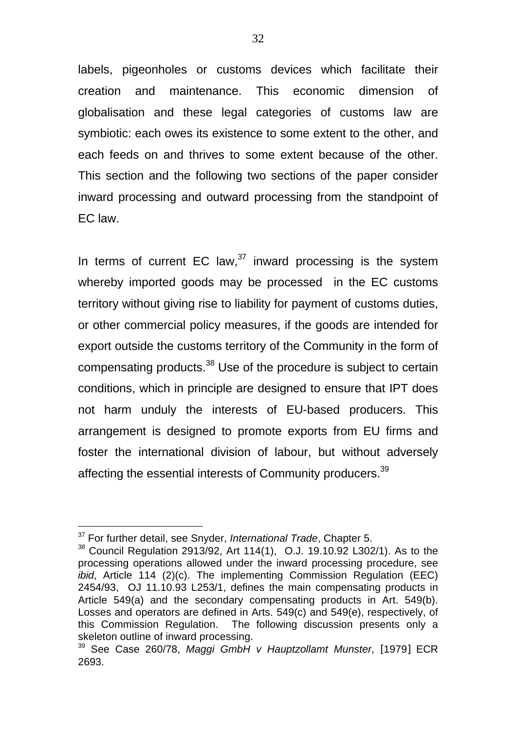labels, pigeonholes or customs devices which facilitate their creation and maintenance. This economic dimension of globalisation and these legal categories of customs law are symbiotic: each owes its existence to some extent to the other, and each feeds on and thrives to some extent because of the other. This section and the following two sections of the paper consider inward processing and outward processing from the standpoint of EC law.

In terms of current EC law, $37$  inward processing is the system whereby imported goods may be processed in the EC customs territory without giving rise to liability for payment of customs duties, or other commercial policy measures, if the goods are intended for export outside the customs territory of the Community in the form of compensating products.<sup>38</sup> Use of the procedure is subject to certain conditions, which in principle are designed to ensure that IPT does not harm unduly the interests of EU-based producers. This arrangement is designed to promote exports from EU firms and foster the international division of labour, but without adversely affecting the essential interests of Community producers.<sup>39</sup>

<sup>37</sup> For further detail, see Snyder, *International Trade*, Chapter 5.

<sup>38</sup> Council Regulation 2913/92, Art 114(1), O.J. 19.10.92 L302/1). As to the processing operations allowed under the inward processing procedure, see *ibid*, Article 114 (2)(c). The implementing Commission Regulation (EEC) 2454/93, OJ 11.10.93 L253/1, defines the main compensating products in Article 549(a) and the secondary compensating products in Art. 549(b). Losses and operators are defined in Arts. 549(c) and 549(e), respectively, of this Commission Regulation. The following discussion presents only a skeleton outline of inward processing.

<sup>39</sup> See Case 260/78, *Maggi GmbH v Hauptzollamt Munster*, [1979] ECR 2693.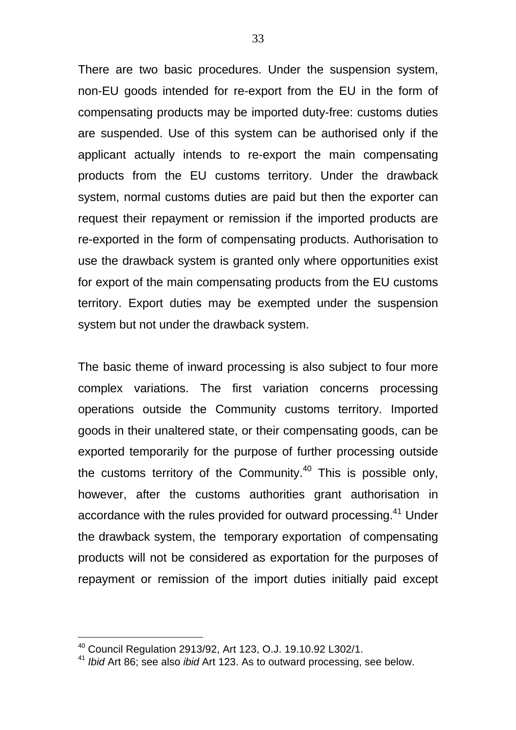There are two basic procedures. Under the suspension system, non-EU goods intended for re-export from the EU in the form of compensating products may be imported duty-free: customs duties are suspended. Use of this system can be authorised only if the applicant actually intends to re-export the main compensating products from the EU customs territory. Under the drawback system, normal customs duties are paid but then the exporter can request their repayment or remission if the imported products are re-exported in the form of compensating products. Authorisation to use the drawback system is granted only where opportunities exist for export of the main compensating products from the EU customs territory. Export duties may be exempted under the suspension system but not under the drawback system.

The basic theme of inward processing is also subject to four more complex variations. The first variation concerns processing operations outside the Community customs territory. Imported goods in their unaltered state, or their compensating goods, can be exported temporarily for the purpose of further processing outside the customs territory of the Community. $40$  This is possible only, however, after the customs authorities grant authorisation in accordance with the rules provided for outward processing.<sup>41</sup> Under the drawback system, the temporary exportation of compensating products will not be considered as exportation for the purposes of repayment or remission of the import duties initially paid except

<sup>40</sup> Council Regulation 2913/92, Art 123, O.J. 19.10.92 L302/1.

<sup>41</sup> *Ibid* Art 86; see also *ibid* Art 123. As to outward processing, see below.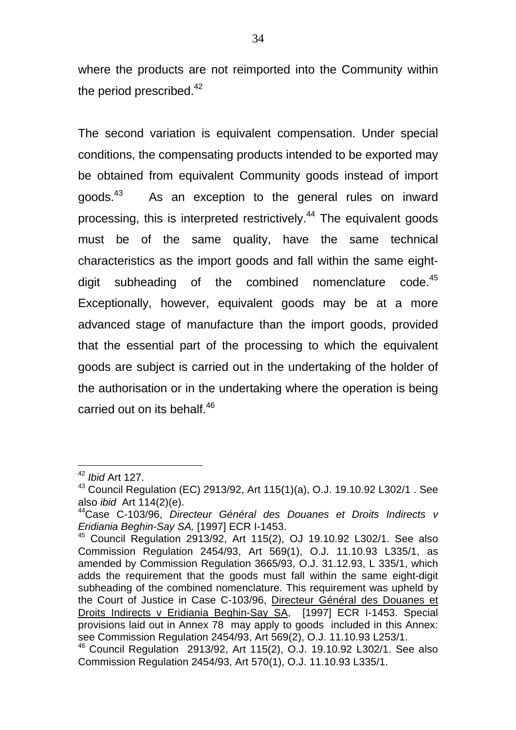where the products are not reimported into the Community within the period prescribed. $42$ 

The second variation is equivalent compensation. Under special conditions, the compensating products intended to be exported may be obtained from equivalent Community goods instead of import goods.<sup>43</sup> As an exception to the general rules on inward processing, this is interpreted restrictively.<sup>44</sup> The equivalent goods must be of the same quality, have the same technical characteristics as the import goods and fall within the same eightdigit subheading of the combined nomenclature code.<sup>45</sup> Exceptionally, however, equivalent goods may be at a more advanced stage of manufacture than the import goods, provided that the essential part of the processing to which the equivalent goods are subject is carried out in the undertaking of the holder of the authorisation or in the undertaking where the operation is being carried out on its behalf.<sup>46</sup>

<sup>42</sup> *Ibid* Art 127.

<sup>43</sup> Council Regulation (EC) 2913/92, Art 115(1)(a), O.J. 19.10.92 L302/1 . See also *ibid* Art 114(2)(e).

<sup>44</sup>Case C-103/96, *Directeur Général des Douanes et Droits Indirects v Eridiania Beghin-Say SA,* [1997] ECR I-1453.

 $45$  Council Regulation 2913/92, Art 115(2), OJ 19.10.92 L302/1. See also Commission Regulation 2454/93, Art 569(1), O.J. 11.10.93 L335/1, as amended by Commission Regulation 3665/93, O.J. 31.12.93, L 335/1, which adds the requirement that the goods must fall within the same eight-digit subheading of the combined nomenclature. This requirement was upheld by the Court of Justice in Case C-103/96, Directeur Général des Douanes et Droits Indirects v Eridiania Beghin-Say SA, [1997] ECR I-1453. Special provisions laid out in Annex 78 may apply to goods included in this Annex: see Commission Regulation 2454/93, Art 569(2), O.J. 11.10.93 L253/1.

<sup>46</sup> Council Regulation 2913/92, Art 115(2), O.J. 19.10.92 L302/1. See also Commission Regulation 2454/93, Art 570(1), O.J. 11.10.93 L335/1.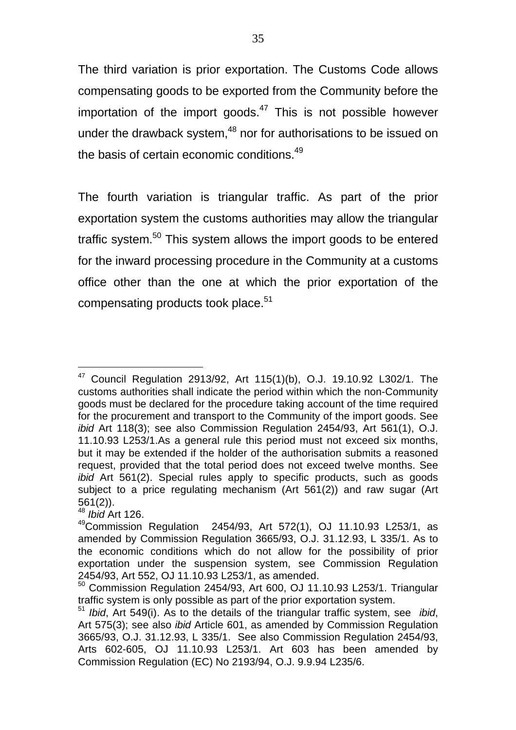The third variation is prior exportation. The Customs Code allows compensating goods to be exported from the Community before the importation of the import goods. $47$  This is not possible however under the drawback system,<sup>48</sup> nor for authorisations to be issued on the basis of certain economic conditions.<sup>49</sup>

The fourth variation is triangular traffic. As part of the prior exportation system the customs authorities may allow the triangular traffic system.<sup>50</sup> This system allows the import goods to be entered for the inward processing procedure in the Community at a customs office other than the one at which the prior exportation of the compensating products took place.<sup>51</sup>

 $47$  Council Regulation 2913/92, Art 115(1)(b), O.J. 19.10.92 L302/1. The customs authorities shall indicate the period within which the non-Community goods must be declared for the procedure taking account of the time required for the procurement and transport to the Community of the import goods. See *ibid* Art 118(3); see also Commission Regulation 2454/93, Art 561(1), O.J. 11.10.93 L253/1.As a general rule this period must not exceed six months, but it may be extended if the holder of the authorisation submits a reasoned request, provided that the total period does not exceed twelve months. See *ibid* Art 561(2). Special rules apply to specific products, such as goods subject to a price regulating mechanism (Art 561(2)) and raw sugar (Art 561(2)).

<sup>48</sup> *Ibid* Art 126.

 $49$ Commission Regulation 2454/93, Art 572(1), OJ 11.10.93 L253/1, as amended by Commission Regulation 3665/93, O.J. 31.12.93, L 335/1. As to the economic conditions which do not allow for the possibility of prior exportation under the suspension system, see Commission Regulation 2454/93, Art 552, OJ 11.10.93 L253/1, as amended.

<sup>50</sup> Commission Regulation 2454/93, Art 600, OJ 11.10.93 L253/1. Triangular traffic system is only possible as part of the prior exportation system.

<sup>51</sup> *Ibid*, Art 549(i). As to the details of the triangular traffic system, see *ibid*, Art 575(3); see also *ibid* Article 601, as amended by Commission Regulation 3665/93, O.J. 31.12.93, L 335/1. See also Commission Regulation 2454/93, Arts 602-605, OJ 11.10.93 L253/1. Art 603 has been amended by Commission Regulation (EC) No 2193/94, O.J. 9.9.94 L235/6.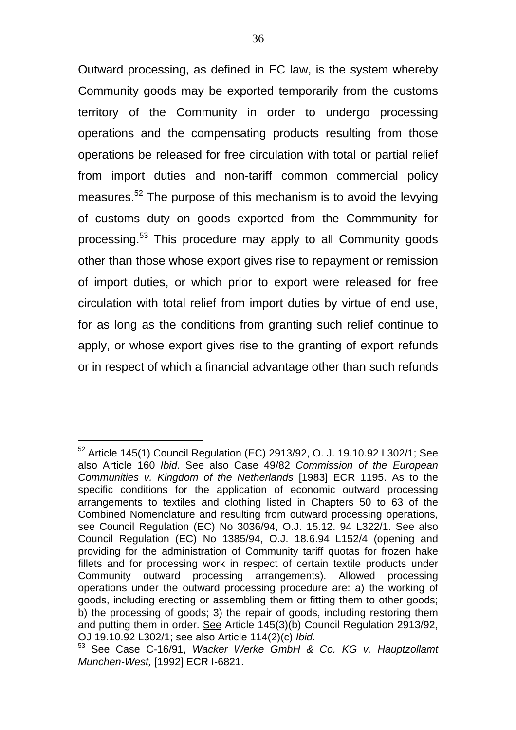Outward processing, as defined in EC law, is the system whereby Community goods may be exported temporarily from the customs territory of the Community in order to undergo processing operations and the compensating products resulting from those operations be released for free circulation with total or partial relief from import duties and non-tariff common commercial policy measures.<sup>52</sup> The purpose of this mechanism is to avoid the levying of customs duty on goods exported from the Commmunity for processing.<sup>53</sup> This procedure may apply to all Community goods other than those whose export gives rise to repayment or remission of import duties, or which prior to export were released for free circulation with total relief from import duties by virtue of end use, for as long as the conditions from granting such relief continue to apply, or whose export gives rise to the granting of export refunds or in respect of which a financial advantage other than such refunds

 $52$  Article 145(1) Council Regulation (EC) 2913/92, O. J. 19.10.92 L302/1; See also Article 160 *Ibid*. See also Case 49/82 *Commission of the European Communities v. Kingdom of the Netherlands* [1983] ECR 1195. As to the specific conditions for the application of economic outward processing arrangements to textiles and clothing listed in Chapters 50 to 63 of the Combined Nomenclature and resulting from outward processing operations, see Council Regulation (EC) No 3036/94, O.J. 15.12. 94 L322/1. See also Council Regulation (EC) No 1385/94, O.J. 18.6.94 L152/4 (opening and providing for the administration of Community tariff quotas for frozen hake fillets and for processing work in respect of certain textile products under Community outward processing arrangements). Allowed processing operations under the outward processing procedure are: a) the working of goods, including erecting or assembling them or fitting them to other goods; b) the processing of goods; 3) the repair of goods, including restoring them and putting them in order. See Article 145(3)(b) Council Regulation 2913/92, OJ 19.10.92 L302/1; see also Article 114(2)(c) *Ibid*.

<sup>53</sup> See Case C-16/91, *Wacker Werke GmbH & Co. KG v. Hauptzollamt Munchen-West,* [1992] ECR I-6821.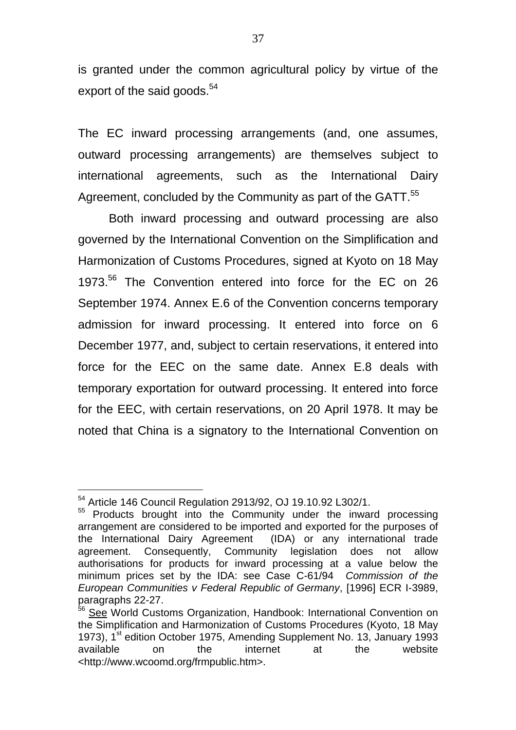is granted under the common agricultural policy by virtue of the export of the said goods.<sup>54</sup>

The EC inward processing arrangements (and, one assumes, outward processing arrangements) are themselves subject to international agreements, such as the International Dairy Agreement, concluded by the Community as part of the GATT.<sup>55</sup>

Both inward processing and outward processing are also governed by the International Convention on the Simplification and Harmonization of Customs Procedures, signed at Kyoto on 18 May 1973.<sup>56</sup> The Convention entered into force for the EC on 26 September 1974. Annex E.6 of the Convention concerns temporary admission for inward processing. It entered into force on 6 December 1977, and, subject to certain reservations, it entered into force for the EEC on the same date. Annex E.8 deals with temporary exportation for outward processing. It entered into force for the EEC, with certain reservations, on 20 April 1978. It may be noted that China is a signatory to the International Convention on

<sup>&</sup>lt;sup>54</sup> Article 146 Council Regulation 2913/92, OJ 19.10.92 L302/1.

<sup>&</sup>lt;sup>55</sup> Products brought into the Community under the inward processing arrangement are considered to be imported and exported for the purposes of the International Dairy Agreement (IDA) or any international trade agreement. Consequently, Community legislation does not allow authorisations for products for inward processing at a value below the minimum prices set by the IDA: see Case C-61/94 *Commission of the European Communities v Federal Republic of Germany*, [1996] ECR I-3989, paragraphs 22-27.

<sup>&</sup>lt;sup>56</sup> See World Customs Organization, Handbook: International Convention on the Simplification and Harmonization of Customs Procedures (Kyoto, 18 May 1973), 1<sup>st</sup> edition October 1975, Amending Supplement No. 13, January 1993 available on the internet at the website <http://www.wcoomd.org/frmpublic.htm>.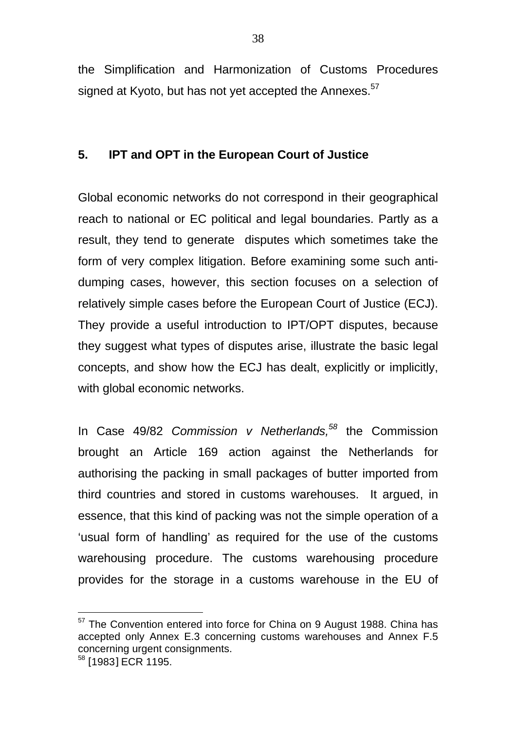the Simplification and Harmonization of Customs Procedures signed at Kyoto, but has not yet accepted the Annexes.<sup>57</sup>

### **5. IPT and OPT in the European Court of Justice**

Global economic networks do not correspond in their geographical reach to national or EC political and legal boundaries. Partly as a result, they tend to generate disputes which sometimes take the form of very complex litigation. Before examining some such antidumping cases, however, this section focuses on a selection of relatively simple cases before the European Court of Justice (ECJ). They provide a useful introduction to IPT/OPT disputes, because they suggest what types of disputes arise, illustrate the basic legal concepts, and show how the ECJ has dealt, explicitly or implicitly, with global economic networks.

In Case 49/82 *Commission v Netherlands,<sup>58</sup>* the Commission brought an Article 169 action against the Netherlands for authorising the packing in small packages of butter imported from third countries and stored in customs warehouses. It argued, in essence, that this kind of packing was not the simple operation of a 'usual form of handling' as required for the use of the customs warehousing procedure. The customs warehousing procedure provides for the storage in a customs warehouse in the EU of

 $57$  The Convention entered into force for China on 9 August 1988. China has accepted only Annex E.3 concerning customs warehouses and Annex F.5 concerning urgent consignments.

<sup>&</sup>lt;sup>58</sup> [1983] ECR 1195.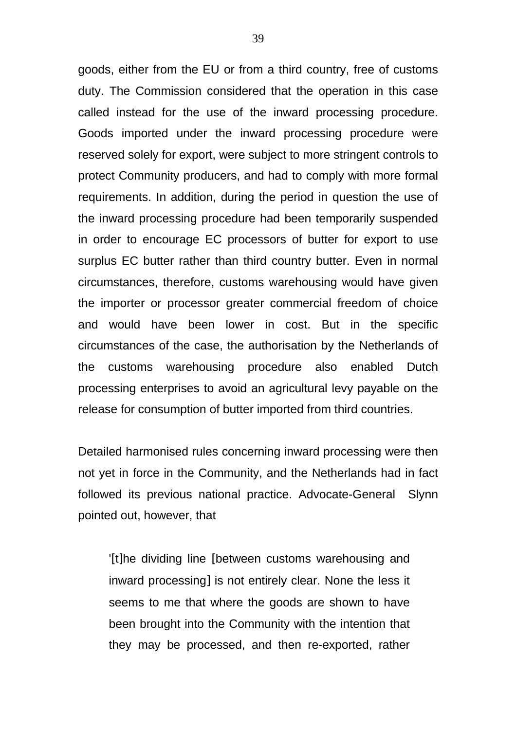goods, either from the EU or from a third country, free of customs duty. The Commission considered that the operation in this case called instead for the use of the inward processing procedure. Goods imported under the inward processing procedure were reserved solely for export, were subject to more stringent controls to protect Community producers, and had to comply with more formal requirements. In addition, during the period in question the use of the inward processing procedure had been temporarily suspended in order to encourage EC processors of butter for export to use surplus EC butter rather than third country butter. Even in normal circumstances, therefore, customs warehousing would have given the importer or processor greater commercial freedom of choice and would have been lower in cost. But in the specific circumstances of the case, the authorisation by the Netherlands of the customs warehousing procedure also enabled Dutch processing enterprises to avoid an agricultural levy payable on the release for consumption of butter imported from third countries.

Detailed harmonised rules concerning inward processing were then not yet in force in the Community, and the Netherlands had in fact followed its previous national practice. Advocate-General Slynn pointed out, however, that

'[t]he dividing line [between customs warehousing and inward processing] is not entirely clear. None the less it seems to me that where the goods are shown to have been brought into the Community with the intention that they may be processed, and then re-exported, rather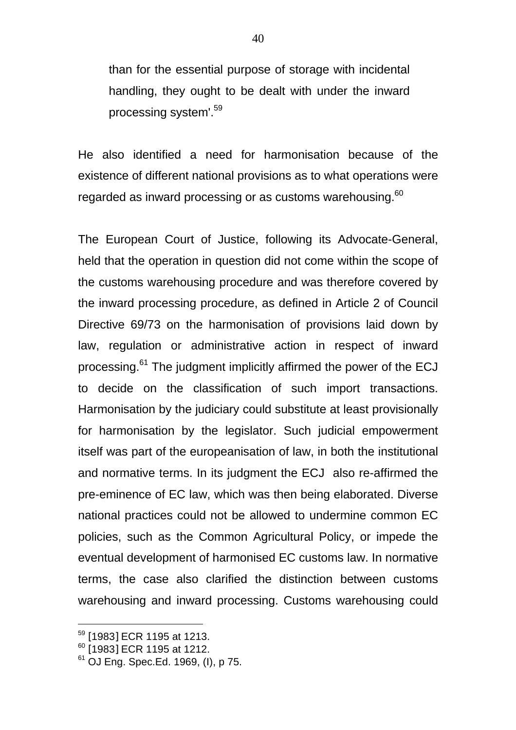than for the essential purpose of storage with incidental handling, they ought to be dealt with under the inward processing system'.<sup>59</sup>

He also identified a need for harmonisation because of the existence of different national provisions as to what operations were regarded as inward processing or as customs warehousing.<sup>60</sup>

The European Court of Justice, following its Advocate-General, held that the operation in question did not come within the scope of the customs warehousing procedure and was therefore covered by the inward processing procedure, as defined in Article 2 of Council Directive 69/73 on the harmonisation of provisions laid down by law, regulation or administrative action in respect of inward processing.<sup>61</sup> The judgment implicitly affirmed the power of the ECJ to decide on the classification of such import transactions. Harmonisation by the judiciary could substitute at least provisionally for harmonisation by the legislator. Such judicial empowerment itself was part of the europeanisation of law, in both the institutional and normative terms. In its judgment the ECJ also re-affirmed the pre-eminence of EC law, which was then being elaborated. Diverse national practices could not be allowed to undermine common EC policies, such as the Common Agricultural Policy, or impede the eventual development of harmonised EC customs law. In normative terms, the case also clarified the distinction between customs warehousing and inward processing. Customs warehousing could

<sup>59</sup> [1983] ECR 1195 at 1213.

<sup>&</sup>lt;sup>60</sup> [1983] ECR 1195 at 1212.

 $61$  OJ Eng. Spec.Ed. 1969, (I), p 75.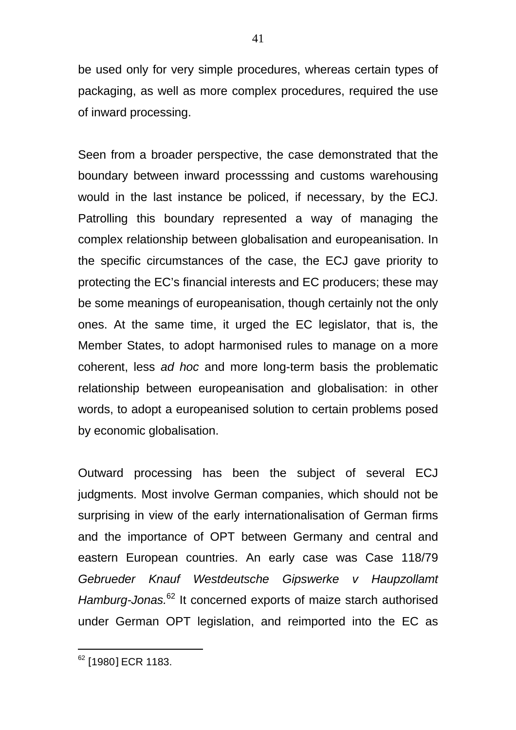be used only for very simple procedures, whereas certain types of packaging, as well as more complex procedures, required the use of inward processing.

Seen from a broader perspective, the case demonstrated that the boundary between inward processsing and customs warehousing would in the last instance be policed, if necessary, by the ECJ. Patrolling this boundary represented a way of managing the complex relationship between globalisation and europeanisation. In the specific circumstances of the case, the ECJ gave priority to protecting the EC's financial interests and EC producers; these may be some meanings of europeanisation, though certainly not the only ones. At the same time, it urged the EC legislator, that is, the Member States, to adopt harmonised rules to manage on a more coherent, less *ad hoc* and more long-term basis the problematic relationship between europeanisation and globalisation: in other words, to adopt a europeanised solution to certain problems posed by economic globalisation.

Outward processing has been the subject of several ECJ judgments. Most involve German companies, which should not be surprising in view of the early internationalisation of German firms and the importance of OPT between Germany and central and eastern European countries. An early case was Case 118/79 *Gebrueder Knauf Westdeutsche Gipswerke v Haupzollamt Hamburg-Jonas.*<sup>62</sup> It concerned exports of maize starch authorised under German OPT legislation, and reimported into the EC as

<sup>&</sup>lt;sup>62</sup> [1980] ECR 1183.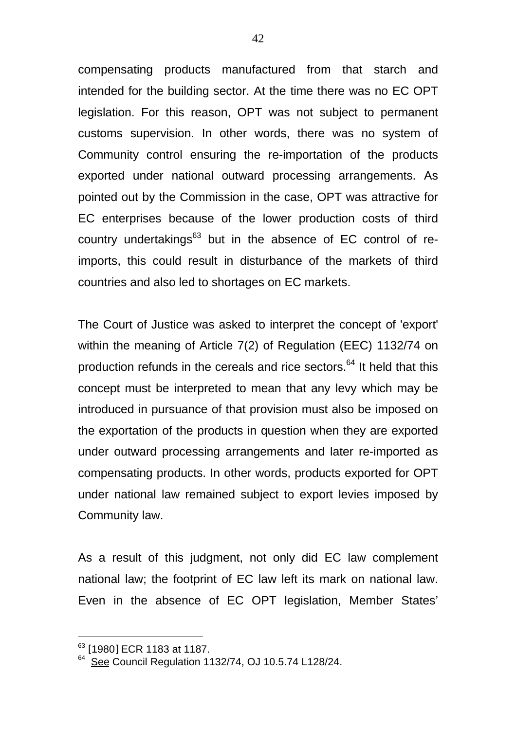compensating products manufactured from that starch and intended for the building sector. At the time there was no EC OPT legislation. For this reason, OPT was not subject to permanent customs supervision. In other words, there was no system of Community control ensuring the re-importation of the products exported under national outward processing arrangements. As pointed out by the Commission in the case, OPT was attractive for EC enterprises because of the lower production costs of third country undertakings<sup>63</sup> but in the absence of EC control of reimports, this could result in disturbance of the markets of third countries and also led to shortages on EC markets.

The Court of Justice was asked to interpret the concept of 'export' within the meaning of Article 7(2) of Regulation (EEC) 1132/74 on production refunds in the cereals and rice sectors. $64$  It held that this concept must be interpreted to mean that any levy which may be introduced in pursuance of that provision must also be imposed on the exportation of the products in question when they are exported under outward processing arrangements and later re-imported as compensating products. In other words, products exported for OPT under national law remained subject to export levies imposed by Community law.

As a result of this judgment, not only did EC law complement national law; the footprint of EC law left its mark on national law. Even in the absence of EC OPT legislation, Member States'

<sup>&</sup>lt;sup>63</sup> [1980] ECR 1183 at 1187.<br><sup>64</sup> <u>See</u> Council Regulation 1132/74, OJ 10.5.74 L128/24.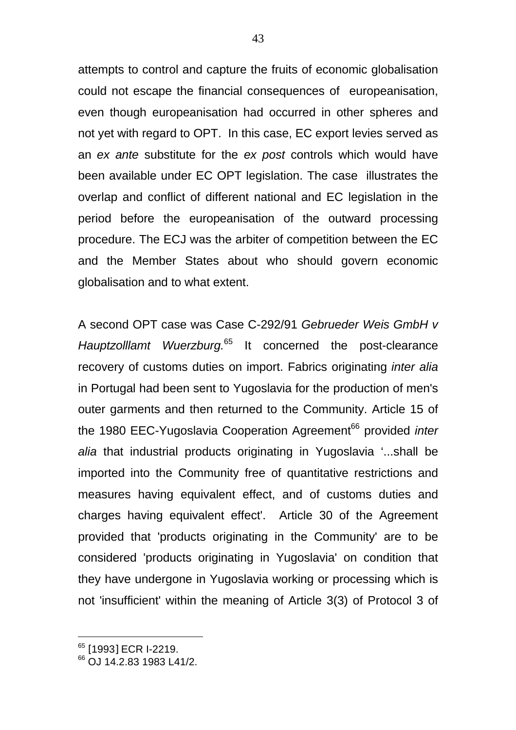attempts to control and capture the fruits of economic globalisation could not escape the financial consequences of europeanisation, even though europeanisation had occurred in other spheres and not yet with regard to OPT. In this case, EC export levies served as an *ex ante* substitute for the *ex post* controls which would have been available under EC OPT legislation. The case illustrates the overlap and conflict of different national and EC legislation in the period before the europeanisation of the outward processing procedure. The ECJ was the arbiter of competition between the EC and the Member States about who should govern economic globalisation and to what extent.

A second OPT case was Case C-292/91 *Gebrueder Weis GmbH v Hauptzolllamt Wuerzburg.*<sup>65</sup> It concerned the post-clearance recovery of customs duties on import. Fabrics originating *inter alia* in Portugal had been sent to Yugoslavia for the production of men's outer garments and then returned to the Community. Article 15 of the 1980 EEC-Yugoslavia Cooperation Agreement<sup>66</sup> provided *inter alia* that industrial products originating in Yugoslavia '...shall be imported into the Community free of quantitative restrictions and measures having equivalent effect, and of customs duties and charges having equivalent effect'. Article 30 of the Agreement provided that 'products originating in the Community' are to be considered 'products originating in Yugoslavia' on condition that they have undergone in Yugoslavia working or processing which is not 'insufficient' within the meaning of Article 3(3) of Protocol 3 of

<sup>&</sup>lt;sup>65</sup> [1993] ECR I-2219.

<sup>&</sup>lt;sup>66</sup> OJ 14.2.83 1983 L41/2.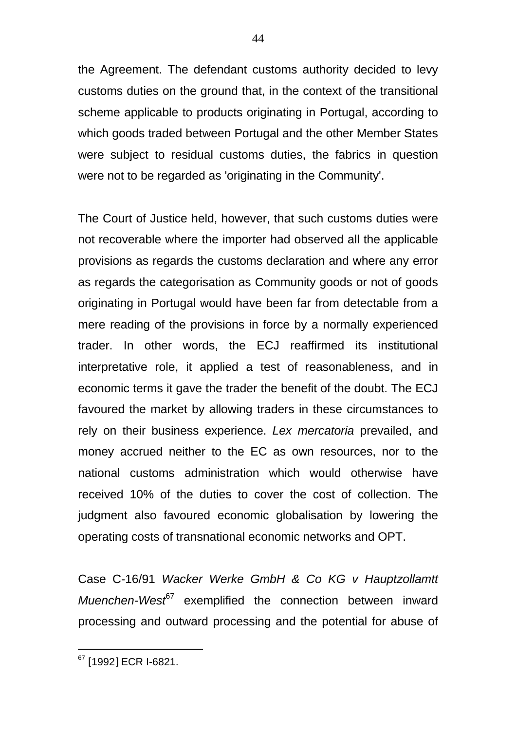the Agreement. The defendant customs authority decided to levy customs duties on the ground that, in the context of the transitional scheme applicable to products originating in Portugal, according to which goods traded between Portugal and the other Member States were subject to residual customs duties, the fabrics in question were not to be regarded as 'originating in the Community'.

The Court of Justice held, however, that such customs duties were not recoverable where the importer had observed all the applicable provisions as regards the customs declaration and where any error as regards the categorisation as Community goods or not of goods originating in Portugal would have been far from detectable from a mere reading of the provisions in force by a normally experienced trader. In other words, the ECJ reaffirmed its institutional interpretative role, it applied a test of reasonableness, and in economic terms it gave the trader the benefit of the doubt. The ECJ favoured the market by allowing traders in these circumstances to rely on their business experience. *Lex mercatoria* prevailed, and money accrued neither to the EC as own resources, nor to the national customs administration which would otherwise have received 10% of the duties to cover the cost of collection. The judgment also favoured economic globalisation by lowering the operating costs of transnational economic networks and OPT.

Case C-16/91 *Wacker Werke GmbH & Co KG v Hauptzollamtt Muenchen-West<sup>67</sup>* exemplified the connection between inward processing and outward processing and the potential for abuse of

<sup>&</sup>lt;sup>67</sup> [1992] ECR I-6821.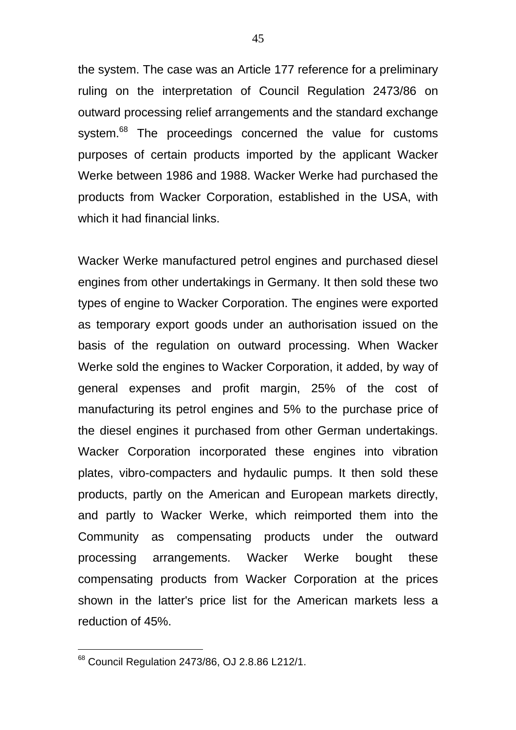the system. The case was an Article 177 reference for a preliminary ruling on the interpretation of Council Regulation 2473/86 on outward processing relief arrangements and the standard exchange system.<sup>68</sup> The proceedings concerned the value for customs purposes of certain products imported by the applicant Wacker Werke between 1986 and 1988. Wacker Werke had purchased the products from Wacker Corporation, established in the USA, with which it had financial links.

Wacker Werke manufactured petrol engines and purchased diesel engines from other undertakings in Germany. It then sold these two types of engine to Wacker Corporation. The engines were exported as temporary export goods under an authorisation issued on the basis of the regulation on outward processing. When Wacker Werke sold the engines to Wacker Corporation, it added, by way of general expenses and profit margin, 25% of the cost of manufacturing its petrol engines and 5% to the purchase price of the diesel engines it purchased from other German undertakings. Wacker Corporation incorporated these engines into vibration plates, vibro-compacters and hydaulic pumps. It then sold these products, partly on the American and European markets directly, and partly to Wacker Werke, which reimported them into the Community as compensating products under the outward processing arrangements. Wacker Werke bought these compensating products from Wacker Corporation at the prices shown in the latter's price list for the American markets less a reduction of 45%.

 $68$  Council Regulation 2473/86, OJ 2.8.86 L212/1.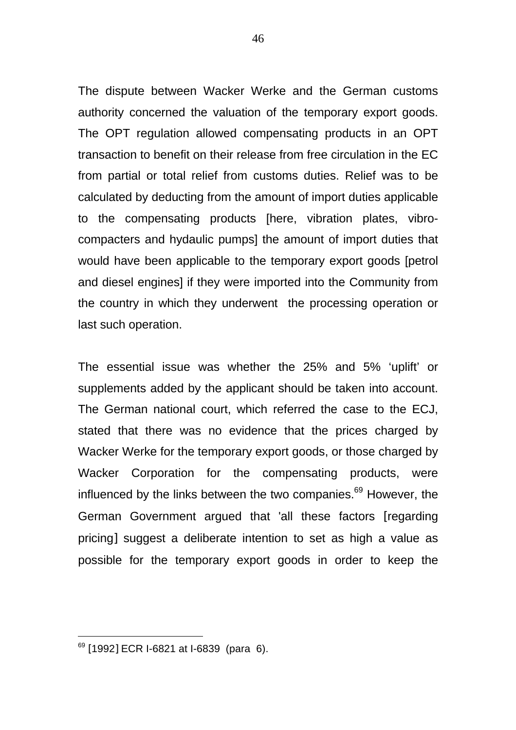The dispute between Wacker Werke and the German customs authority concerned the valuation of the temporary export goods. The OPT regulation allowed compensating products in an OPT transaction to benefit on their release from free circulation in the EC from partial or total relief from customs duties. Relief was to be calculated by deducting from the amount of import duties applicable to the compensating products [here, vibration plates, vibrocompacters and hydaulic pumps] the amount of import duties that would have been applicable to the temporary export goods [petrol and diesel engines] if they were imported into the Community from the country in which they underwent the processing operation or last such operation.

The essential issue was whether the 25% and 5% 'uplift' or supplements added by the applicant should be taken into account. The German national court, which referred the case to the ECJ, stated that there was no evidence that the prices charged by Wacker Werke for the temporary export goods, or those charged by Wacker Corporation for the compensating products, were influenced by the links between the two companies.<sup>69</sup> However, the German Government argued that 'all these factors [regarding pricing] suggest a deliberate intention to set as high a value as possible for the temporary export goods in order to keep the

<sup>&</sup>lt;sup>69</sup> [1992] ECR I-6821 at I-6839 (para 6).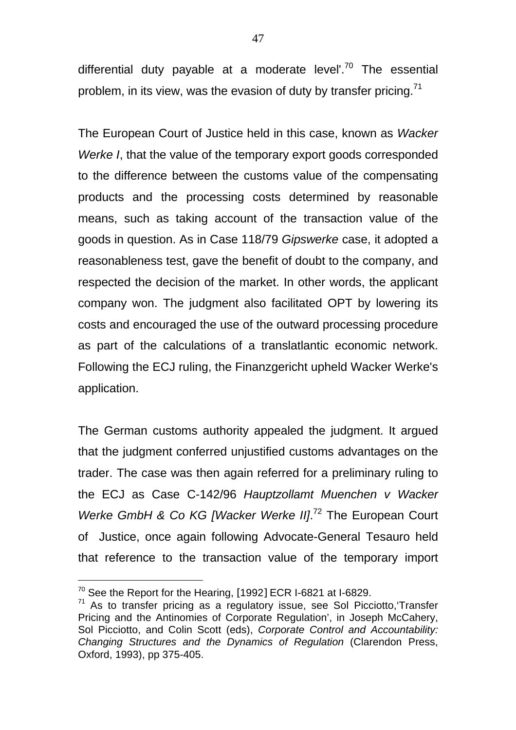differential duty payable at a moderate level'. $70$  The essential problem, in its view, was the evasion of duty by transfer pricing. $71$ 

The European Court of Justice held in this case, known as *Wacker Werke I*, that the value of the temporary export goods corresponded to the difference between the customs value of the compensating products and the processing costs determined by reasonable means, such as taking account of the transaction value of the goods in question. As in Case 118/79 *Gipswerke* case, it adopted a reasonableness test, gave the benefit of doubt to the company, and respected the decision of the market. In other words, the applicant company won. The judgment also facilitated OPT by lowering its costs and encouraged the use of the outward processing procedure as part of the calculations of a translatlantic economic network. Following the ECJ ruling, the Finanzgericht upheld Wacker Werke's application.

The German customs authority appealed the judgment. It argued that the judgment conferred unjustified customs advantages on the trader. The case was then again referred for a preliminary ruling to the ECJ as Case C-142/96 *Hauptzollamt Muenchen v Wacker* Werke GmbH & Co KG [Wacker Werke II].<sup>72</sup> The European Court of Justice, once again following Advocate-General Tesauro held that reference to the transaction value of the temporary import

 $70$  See the Report for the Hearing, [1992] ECR I-6821 at I-6829.

 $71$  As to transfer pricing as a regulatory issue, see Sol Picciotto, Transfer Pricing and the Antinomies of Corporate Regulation', in Joseph McCahery, Sol Picciotto, and Colin Scott (eds), *Corporate Control and Accountability: Changing Structures and the Dynamics of Regulation* (Clarendon Press, Oxford, 1993), pp 375-405.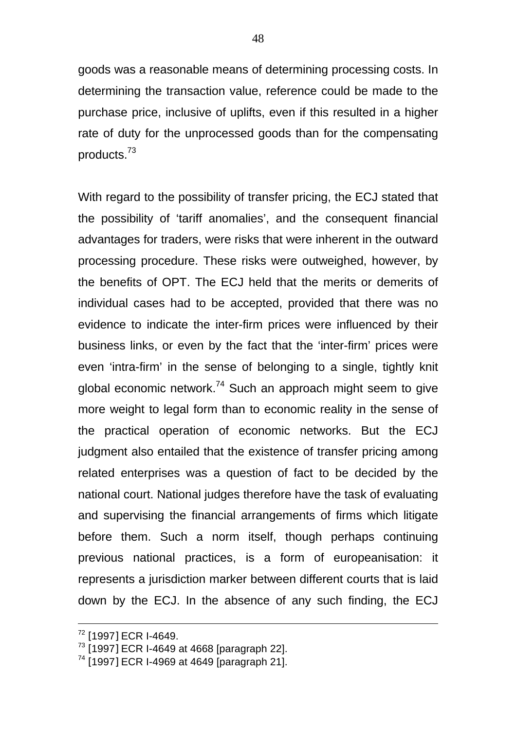goods was a reasonable means of determining processing costs. In determining the transaction value, reference could be made to the purchase price, inclusive of uplifts, even if this resulted in a higher rate of duty for the unprocessed goods than for the compensating products.<sup>73</sup>

With regard to the possibility of transfer pricing, the ECJ stated that the possibility of 'tariff anomalies', and the consequent financial advantages for traders, were risks that were inherent in the outward processing procedure. These risks were outweighed, however, by the benefits of OPT. The ECJ held that the merits or demerits of individual cases had to be accepted, provided that there was no evidence to indicate the inter-firm prices were influenced by their business links, or even by the fact that the 'inter-firm' prices were even 'intra-firm' in the sense of belonging to a single, tightly knit global economic network.<sup>74</sup> Such an approach might seem to give more weight to legal form than to economic reality in the sense of the practical operation of economic networks. But the ECJ judgment also entailed that the existence of transfer pricing among related enterprises was a question of fact to be decided by the national court. National judges therefore have the task of evaluating and supervising the financial arrangements of firms which litigate before them. Such a norm itself, though perhaps continuing previous national practices, is a form of europeanisation: it represents a jurisdiction marker between different courts that is laid down by the ECJ. In the absence of any such finding, the ECJ

<sup>&</sup>lt;sup>72</sup> [1997] ECR I-4649.

 $73$  [1997] ECR I-4649 at 4668 [paragraph 22].

<sup>74</sup> [1997] ECR I-4969 at 4649 [paragraph 21].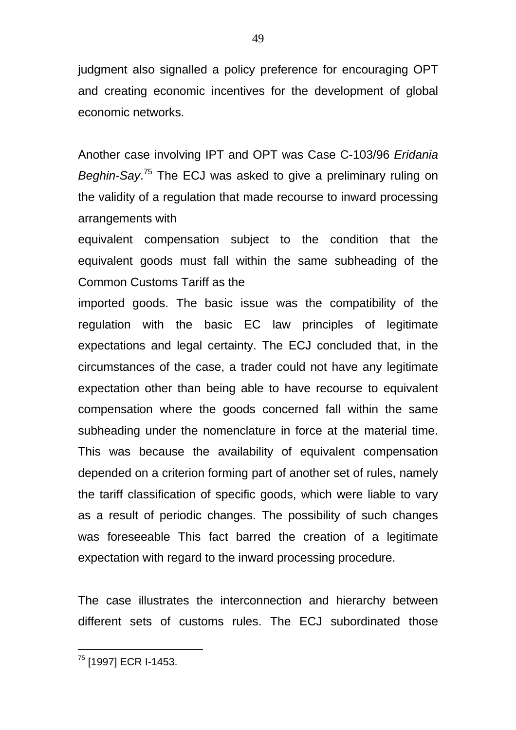judgment also signalled a policy preference for encouraging OPT and creating economic incentives for the development of global economic networks.

Another case involving IPT and OPT was Case C-103/96 *Eridania Beghin-Say*. <sup>75</sup> The ECJ was asked to give a preliminary ruling on the validity of a regulation that made recourse to inward processing arrangements with

equivalent compensation subject to the condition that the equivalent goods must fall within the same subheading of the Common Customs Tariff as the

imported goods. The basic issue was the compatibility of the regulation with the basic EC law principles of legitimate expectations and legal certainty. The ECJ concluded that, in the circumstances of the case, a trader could not have any legitimate expectation other than being able to have recourse to equivalent compensation where the goods concerned fall within the same subheading under the nomenclature in force at the material time. This was because the availability of equivalent compensation depended on a criterion forming part of another set of rules, namely the tariff classification of specific goods, which were liable to vary as a result of periodic changes. The possibility of such changes was foreseeable This fact barred the creation of a legitimate expectation with regard to the inward processing procedure.

The case illustrates the interconnection and hierarchy between different sets of customs rules. The ECJ subordinated those

<sup>&</sup>lt;sup>75</sup> [1997] ECR I-1453.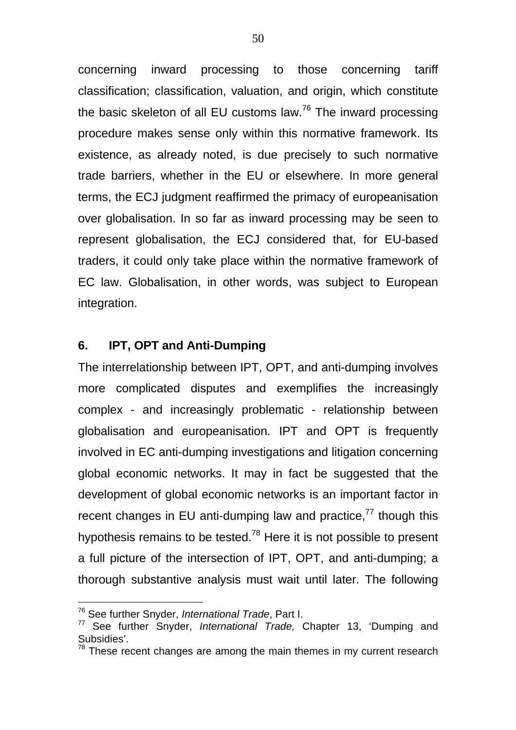concerning inward processing to those concerning tariff classification; classification, valuation, and origin, which constitute the basic skeleton of all EU customs law.<sup>76</sup> The inward processing procedure makes sense only within this normative framework. Its existence, as already noted, is due precisely to such normative trade barriers, whether in the EU or elsewhere. In more general terms, the ECJ judgment reaffirmed the primacy of europeanisation over globalisation. In so far as inward processing may be seen to represent globalisation, the ECJ considered that, for EU-based traders, it could only take place within the normative framework of EC law. Globalisation, in other words, was subject to European integration.

### **6. IPT, OPT and Anti-Dumping**

The interrelationship between IPT, OPT, and anti-dumping involves more complicated disputes and exemplifies the increasingly complex - and increasingly problematic - relationship between globalisation and europeanisation. IPT and OPT is frequently involved in EC anti-dumping investigations and litigation concerning global economic networks. It may in fact be suggested that the development of global economic networks is an important factor in recent changes in EU anti-dumping law and practice, $77$  though this hypothesis remains to be tested.<sup>78</sup> Here it is not possible to present a full picture of the intersection of IPT, OPT, and anti-dumping; a thorough substantive analysis must wait until later. The following

<sup>76</sup> See further Snyder, *International Trade*, Part I.

<sup>77</sup> See further Snyder, *International Trade,* Chapter 13, 'Dumping and Subsidies'.

 $78$  These recent changes are among the main themes in my current research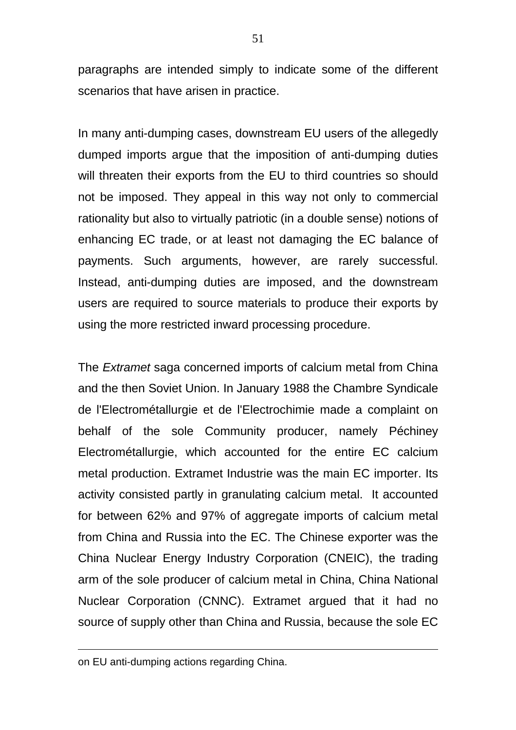paragraphs are intended simply to indicate some of the different scenarios that have arisen in practice.

In many anti-dumping cases, downstream EU users of the allegedly dumped imports argue that the imposition of anti-dumping duties will threaten their exports from the EU to third countries so should not be imposed. They appeal in this way not only to commercial rationality but also to virtually patriotic (in a double sense) notions of enhancing EC trade, or at least not damaging the EC balance of payments. Such arguments, however, are rarely successful. Instead, anti-dumping duties are imposed, and the downstream users are required to source materials to produce their exports by using the more restricted inward processing procedure.

The *Extramet* saga concerned imports of calcium metal from China and the then Soviet Union. In January 1988 the Chambre Syndicale de l'Electrométallurgie et de l'Electrochimie made a complaint on behalf of the sole Community producer, namely Péchiney Electrométallurgie, which accounted for the entire EC calcium metal production. Extramet Industrie was the main EC importer. Its activity consisted partly in granulating calcium metal. It accounted for between 62% and 97% of aggregate imports of calcium metal from China and Russia into the EC. The Chinese exporter was the China Nuclear Energy Industry Corporation (CNEIC), the trading arm of the sole producer of calcium metal in China, China National Nuclear Corporation (CNNC). Extramet argued that it had no source of supply other than China and Russia, because the sole EC

on EU anti-dumping actions regarding China.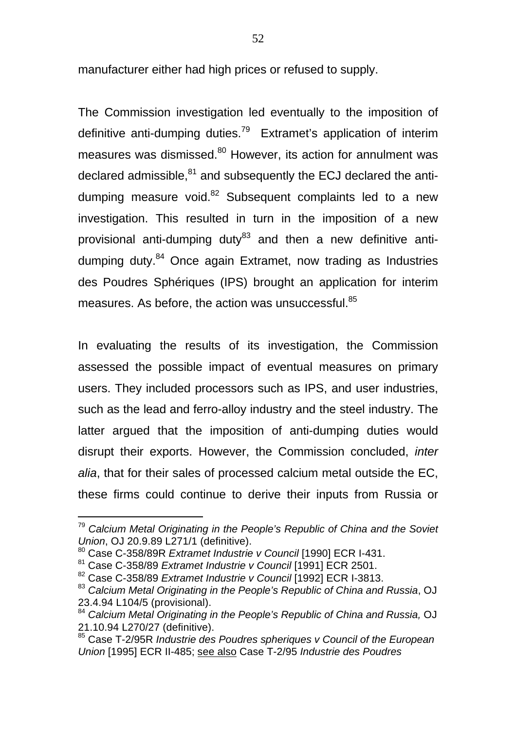manufacturer either had high prices or refused to supply.

The Commission investigation led eventually to the imposition of definitive anti-dumping duties.<sup>79</sup> Extramet's application of interim measures was dismissed.<sup>80</sup> However, its action for annulment was declared admissible,<sup>81</sup> and subsequently the ECJ declared the antidumping measure void.<sup>82</sup> Subsequent complaints led to a new investigation. This resulted in turn in the imposition of a new provisional anti-dumping duty<sup>83</sup> and then a new definitive antidumping duty.<sup>84</sup> Once again Extramet, now trading as Industries des Poudres Sphériques (IPS) brought an application for interim measures. As before, the action was unsuccessful.<sup>85</sup>

In evaluating the results of its investigation, the Commission assessed the possible impact of eventual measures on primary users. They included processors such as IPS, and user industries, such as the lead and ferro-alloy industry and the steel industry. The latter argued that the imposition of anti-dumping duties would disrupt their exports. However, the Commission concluded, *inter alia*, that for their sales of processed calcium metal outside the EC, these firms could continue to derive their inputs from Russia or

<sup>79</sup> *Calcium Metal Originating in the People's Republic of China and the Soviet Union*, OJ 20.9.89 L271/1 (definitive).

<sup>80</sup> Case C-358/89R *Extramet Industrie v Council* [1990] ECR I-431.

<sup>81</sup> Case C-358/89 *Extramet Industrie v Council* [1991] ECR 2501.

<sup>82</sup> Case C-358/89 *Extramet Industrie v Council* [1992] ECR I-3813.

<sup>83</sup> Calcium Metal Originating in the People's Republic of China and Russia, OJ 23.4.94 L104/5 (provisional).

<sup>84</sup> *Calcium Metal Originating in the People's Republic of China and Russia,* OJ 21.10.94 L270/27 (definitive).

<sup>85</sup> Case T-2/95R *Industrie des Poudres spheriques v Council of the European Union* [1995] ECR II-485; see also Case T-2/95 *Industrie des Poudres*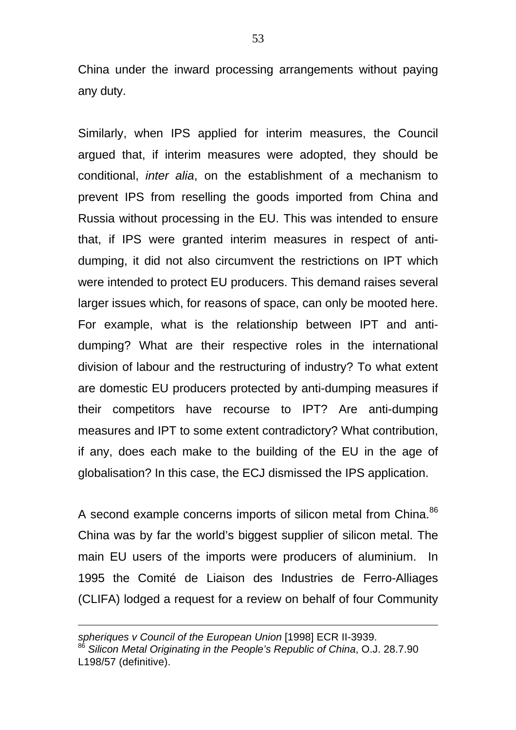China under the inward processing arrangements without paying any duty.

Similarly, when IPS applied for interim measures, the Council argued that, if interim measures were adopted, they should be conditional, *inter alia*, on the establishment of a mechanism to prevent IPS from reselling the goods imported from China and Russia without processing in the EU. This was intended to ensure that, if IPS were granted interim measures in respect of antidumping, it did not also circumvent the restrictions on IPT which were intended to protect EU producers. This demand raises several larger issues which, for reasons of space, can only be mooted here. For example, what is the relationship between IPT and antidumping? What are their respective roles in the international division of labour and the restructuring of industry? To what extent are domestic EU producers protected by anti-dumping measures if their competitors have recourse to IPT? Are anti-dumping measures and IPT to some extent contradictory? What contribution, if any, does each make to the building of the EU in the age of globalisation? In this case, the ECJ dismissed the IPS application.

A second example concerns imports of silicon metal from China.<sup>86</sup> China was by far the world's biggest supplier of silicon metal. The main EU users of the imports were producers of aluminium. In 1995 the Comité de Liaison des Industries de Ferro-Alliages (CLIFA) lodged a request for a review on behalf of four Community

*spheriques v Council of the European Union* [1998] ECR II-3939. <sup>86</sup> *Silicon Metal Originating in the People's Republic of China*, O.J. 28.7.90 L198/57 (definitive).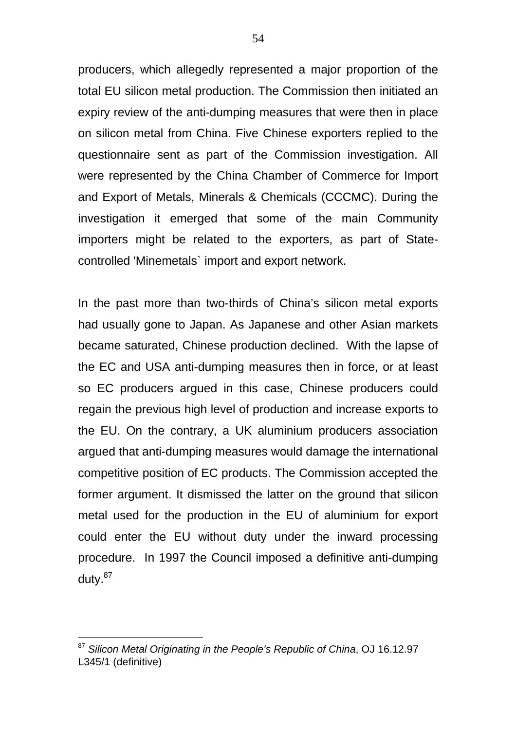producers, which allegedly represented a major proportion of the total EU silicon metal production. The Commission then initiated an expiry review of the anti-dumping measures that were then in place on silicon metal from China. Five Chinese exporters replied to the questionnaire sent as part of the Commission investigation. All were represented by the China Chamber of Commerce for Import and Export of Metals, Minerals & Chemicals (CCCMC). During the investigation it emerged that some of the main Community importers might be related to the exporters, as part of Statecontrolled 'Minemetals` import and export network.

In the past more than two-thirds of China's silicon metal exports had usually gone to Japan. As Japanese and other Asian markets became saturated, Chinese production declined. With the lapse of the EC and USA anti-dumping measures then in force, or at least so EC producers argued in this case, Chinese producers could regain the previous high level of production and increase exports to the EU. On the contrary, a UK aluminium producers association argued that anti-dumping measures would damage the international competitive position of EC products. The Commission accepted the former argument. It dismissed the latter on the ground that silicon metal used for the production in the EU of aluminium for export could enter the EU without duty under the inward processing procedure. In 1997 the Council imposed a definitive anti-dumping duty.<sup>87</sup>

<sup>87</sup> *Silicon Metal Originating in the People's Republic of China*, OJ 16.12.97 L345/1 (definitive)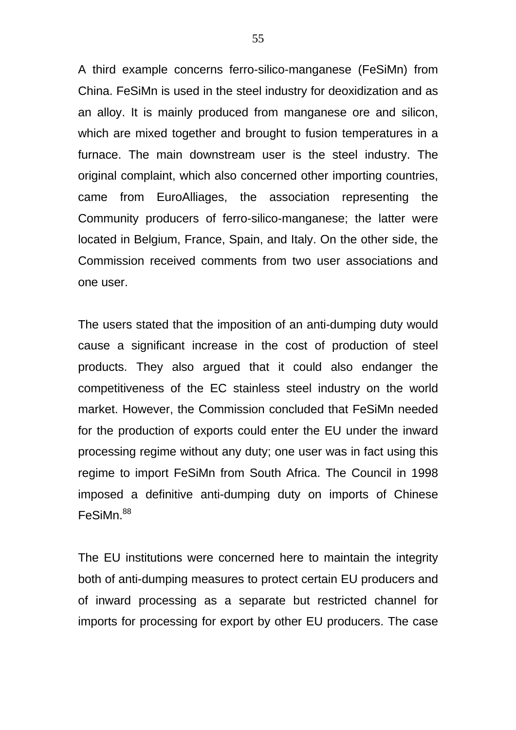A third example concerns ferro-silico-manganese (FeSiMn) from China. FeSiMn is used in the steel industry for deoxidization and as an alloy. It is mainly produced from manganese ore and silicon, which are mixed together and brought to fusion temperatures in a furnace. The main downstream user is the steel industry. The original complaint, which also concerned other importing countries, came from EuroAlliages, the association representing the Community producers of ferro-silico-manganese; the latter were located in Belgium, France, Spain, and Italy. On the other side, the Commission received comments from two user associations and one user.

The users stated that the imposition of an anti-dumping duty would cause a significant increase in the cost of production of steel products. They also argued that it could also endanger the competitiveness of the EC stainless steel industry on the world market. However, the Commission concluded that FeSiMn needed for the production of exports could enter the EU under the inward processing regime without any duty; one user was in fact using this regime to import FeSiMn from South Africa. The Council in 1998 imposed a definitive anti-dumping duty on imports of Chinese FeSiMn<sup>88</sup>

The EU institutions were concerned here to maintain the integrity both of anti-dumping measures to protect certain EU producers and of inward processing as a separate but restricted channel for imports for processing for export by other EU producers. The case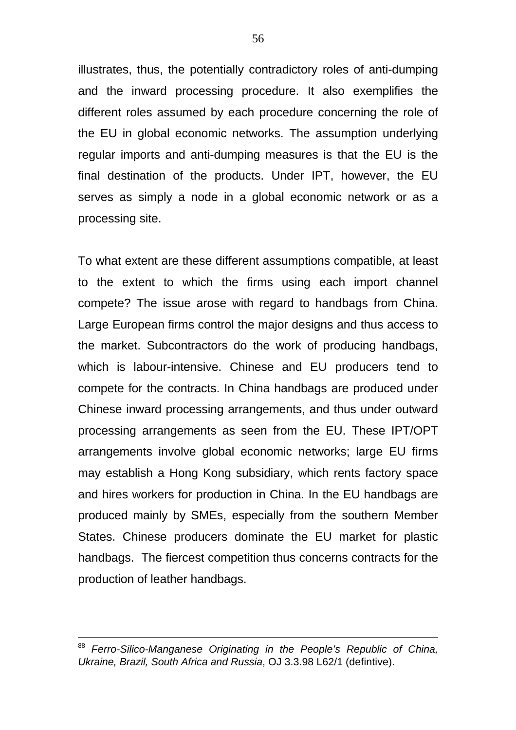illustrates, thus, the potentially contradictory roles of anti-dumping and the inward processing procedure. It also exemplifies the different roles assumed by each procedure concerning the role of the EU in global economic networks. The assumption underlying regular imports and anti-dumping measures is that the EU is the final destination of the products. Under IPT, however, the EU serves as simply a node in a global economic network or as a processing site.

To what extent are these different assumptions compatible, at least to the extent to which the firms using each import channel compete? The issue arose with regard to handbags from China. Large European firms control the major designs and thus access to the market. Subcontractors do the work of producing handbags, which is labour-intensive. Chinese and EU producers tend to compete for the contracts. In China handbags are produced under Chinese inward processing arrangements, and thus under outward processing arrangements as seen from the EU. These IPT/OPT arrangements involve global economic networks; large EU firms may establish a Hong Kong subsidiary, which rents factory space and hires workers for production in China. In the EU handbags are produced mainly by SMEs, especially from the southern Member States. Chinese producers dominate the EU market for plastic handbags. The fiercest competition thus concerns contracts for the production of leather handbags.

<sup>88</sup> *Ferro-Silico-Manganese Originating in the People's Republic of China, Ukraine, Brazil, South Africa and Russia*, OJ 3.3.98 L62/1 (defintive).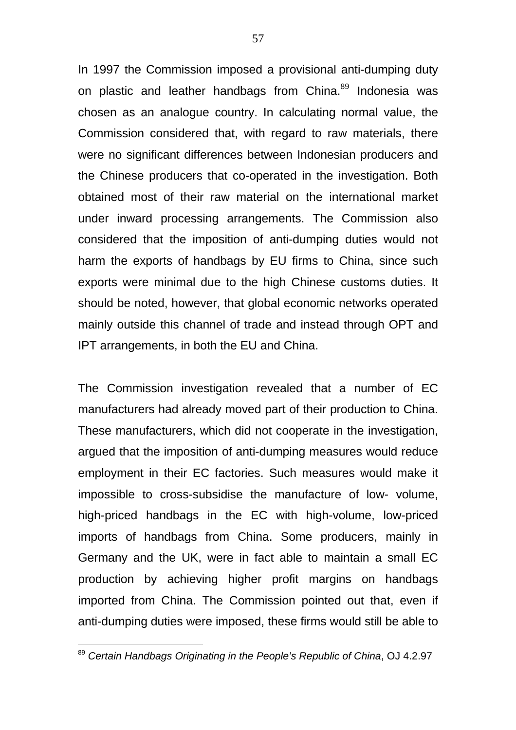In 1997 the Commission imposed a provisional anti-dumping duty on plastic and leather handbags from China.<sup>89</sup> Indonesia was chosen as an analogue country. In calculating normal value, the Commission considered that, with regard to raw materials, there were no significant differences between Indonesian producers and the Chinese producers that co-operated in the investigation. Both obtained most of their raw material on the international market under inward processing arrangements. The Commission also considered that the imposition of anti-dumping duties would not harm the exports of handbags by EU firms to China, since such exports were minimal due to the high Chinese customs duties. It should be noted, however, that global economic networks operated mainly outside this channel of trade and instead through OPT and IPT arrangements, in both the EU and China.

The Commission investigation revealed that a number of EC manufacturers had already moved part of their production to China. These manufacturers, which did not cooperate in the investigation, argued that the imposition of anti-dumping measures would reduce employment in their EC factories. Such measures would make it impossible to cross-subsidise the manufacture of low- volume, high-priced handbags in the EC with high-volume, low-priced imports of handbags from China. Some producers, mainly in Germany and the UK, were in fact able to maintain a small EC production by achieving higher profit margins on handbags imported from China. The Commission pointed out that, even if anti-dumping duties were imposed, these firms would still be able to

<sup>89</sup> *Certain Handbags Originating in the People's Republic of China*, OJ 4.2.97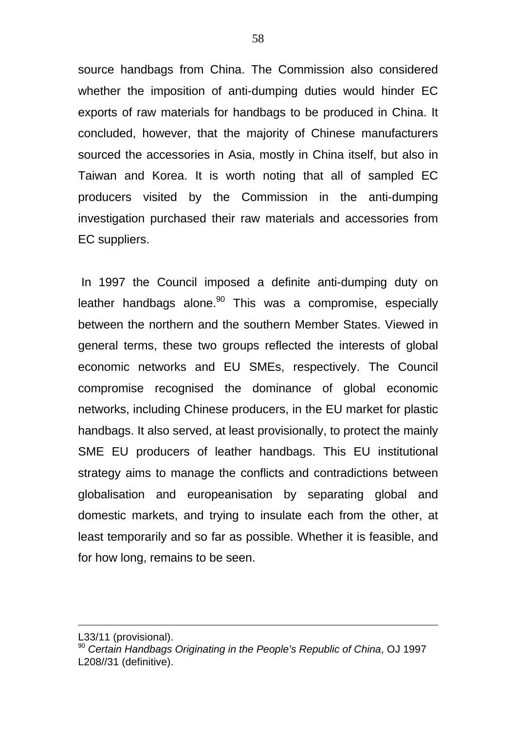source handbags from China. The Commission also considered whether the imposition of anti-dumping duties would hinder EC exports of raw materials for handbags to be produced in China. It concluded, however, that the majority of Chinese manufacturers sourced the accessories in Asia, mostly in China itself, but also in Taiwan and Korea. It is worth noting that all of sampled EC producers visited by the Commission in the anti-dumping investigation purchased their raw materials and accessories from EC suppliers.

 In 1997 the Council imposed a definite anti-dumping duty on leather handbags alone. $90$  This was a compromise, especially between the northern and the southern Member States. Viewed in general terms, these two groups reflected the interests of global economic networks and EU SMEs, respectively. The Council compromise recognised the dominance of global economic networks, including Chinese producers, in the EU market for plastic handbags. It also served, at least provisionally, to protect the mainly SME EU producers of leather handbags. This EU institutional strategy aims to manage the conflicts and contradictions between globalisation and europeanisation by separating global and domestic markets, and trying to insulate each from the other, at least temporarily and so far as possible. Whether it is feasible, and for how long, remains to be seen.

L33/11 (provisional).

<sup>90</sup> *Certain Handbags Originating in the People's Republic of China*, OJ 1997 L208//31 (definitive).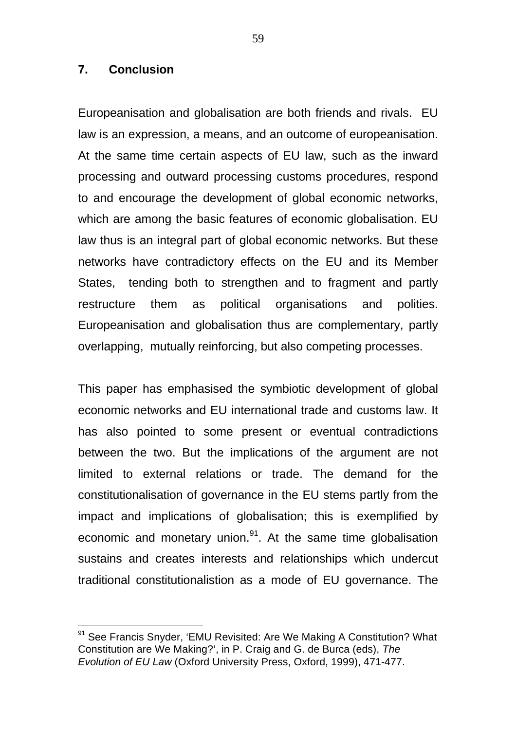#### **7. Conclusion**

 $\overline{a}$ 

Europeanisation and globalisation are both friends and rivals. EU law is an expression, a means, and an outcome of europeanisation. At the same time certain aspects of EU law, such as the inward processing and outward processing customs procedures, respond to and encourage the development of global economic networks, which are among the basic features of economic globalisation. EU law thus is an integral part of global economic networks. But these networks have contradictory effects on the EU and its Member States, tending both to strengthen and to fragment and partly restructure them as political organisations and polities. Europeanisation and globalisation thus are complementary, partly overlapping, mutually reinforcing, but also competing processes.

This paper has emphasised the symbiotic development of global economic networks and EU international trade and customs law. It has also pointed to some present or eventual contradictions between the two. But the implications of the argument are not limited to external relations or trade. The demand for the constitutionalisation of governance in the EU stems partly from the impact and implications of globalisation; this is exemplified by economic and monetary union.<sup>91</sup>. At the same time globalisation sustains and creates interests and relationships which undercut traditional constitutionalistion as a mode of EU governance. The

<sup>&</sup>lt;sup>91</sup> See Francis Snyder, 'EMU Revisited: Are We Making A Constitution? What Constitution are We Making?', in P. Craig and G. de Burca (eds), *The Evolution of EU Law* (Oxford University Press, Oxford, 1999), 471-477.